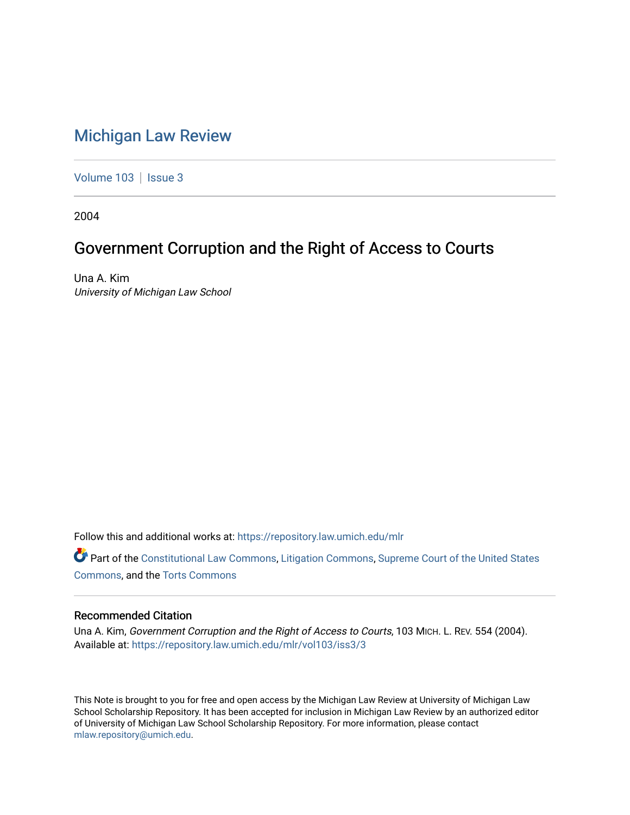# [Michigan Law Review](https://repository.law.umich.edu/mlr)

[Volume 103](https://repository.law.umich.edu/mlr/vol103) | [Issue 3](https://repository.law.umich.edu/mlr/vol103/iss3)

2004

# Government Corruption and the Right of Access to Courts

Una A. Kim University of Michigan Law School

Follow this and additional works at: [https://repository.law.umich.edu/mlr](https://repository.law.umich.edu/mlr?utm_source=repository.law.umich.edu%2Fmlr%2Fvol103%2Fiss3%2F3&utm_medium=PDF&utm_campaign=PDFCoverPages) 

Part of the [Constitutional Law Commons,](http://network.bepress.com/hgg/discipline/589?utm_source=repository.law.umich.edu%2Fmlr%2Fvol103%2Fiss3%2F3&utm_medium=PDF&utm_campaign=PDFCoverPages) [Litigation Commons](http://network.bepress.com/hgg/discipline/910?utm_source=repository.law.umich.edu%2Fmlr%2Fvol103%2Fiss3%2F3&utm_medium=PDF&utm_campaign=PDFCoverPages), Supreme Court of the United States [Commons](http://network.bepress.com/hgg/discipline/1350?utm_source=repository.law.umich.edu%2Fmlr%2Fvol103%2Fiss3%2F3&utm_medium=PDF&utm_campaign=PDFCoverPages), and the [Torts Commons](http://network.bepress.com/hgg/discipline/913?utm_source=repository.law.umich.edu%2Fmlr%2Fvol103%2Fiss3%2F3&utm_medium=PDF&utm_campaign=PDFCoverPages) 

# Recommended Citation

Una A. Kim, Government Corruption and the Right of Access to Courts, 103 MICH. L. REV. 554 (2004). Available at: [https://repository.law.umich.edu/mlr/vol103/iss3/3](https://repository.law.umich.edu/mlr/vol103/iss3/3?utm_source=repository.law.umich.edu%2Fmlr%2Fvol103%2Fiss3%2F3&utm_medium=PDF&utm_campaign=PDFCoverPages) 

This Note is brought to you for free and open access by the Michigan Law Review at University of Michigan Law School Scholarship Repository. It has been accepted for inclusion in Michigan Law Review by an authorized editor of University of Michigan Law School Scholarship Repository. For more information, please contact [mlaw.repository@umich.edu.](mailto:mlaw.repository@umich.edu)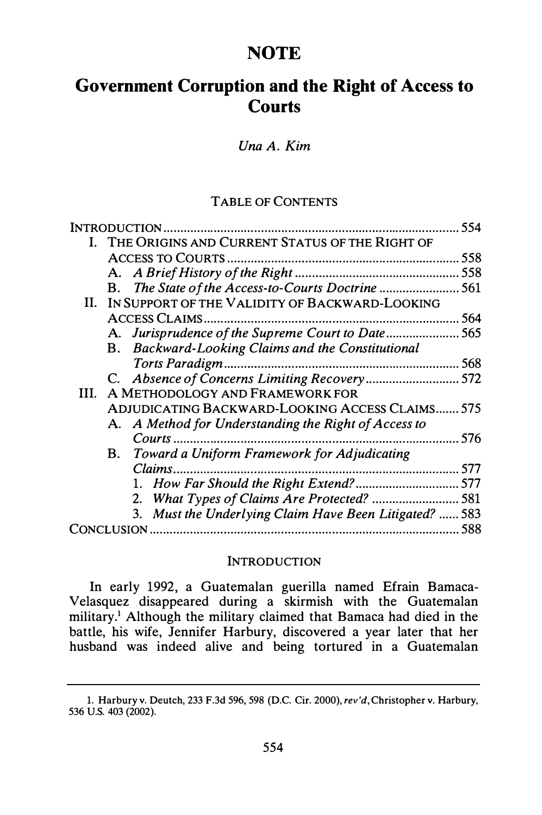# **NOTE**

# Government Corruption and the Right of Access to **Courts**

Una A. Kim

#### TABLE OF CONTENTS

| <b>INTRODUCTION.</b> |                                                |                                                        | 554 |
|----------------------|------------------------------------------------|--------------------------------------------------------|-----|
|                      | THE ORIGINS AND CURRENT STATUS OF THE RIGHT OF |                                                        |     |
|                      |                                                | <b>ACCESS TO COURTS</b>                                | 558 |
|                      |                                                |                                                        | 558 |
|                      | В.                                             | The State of the Access-to-Courts Doctrine             | 561 |
| Н.                   |                                                | IN SUPPORT OF THE VALIDITY OF BACKWARD-LOOKING         |     |
|                      | ACCESS CLAIMS.                                 |                                                        | 564 |
|                      |                                                | A. Jurisprudence of the Supreme Court to Date          | 565 |
|                      |                                                | B. Backward-Looking Claims and the Constitutional      |     |
|                      |                                                |                                                        | 568 |
|                      |                                                |                                                        | 572 |
| HL.                  | A METHODOLOGY AND FRAMEWORK FOR                |                                                        |     |
|                      | ADJUDICATING BACKWARD-LOOKING ACCESS CLAIMS    |                                                        | 575 |
|                      |                                                | A. A Method for Understanding the Right of Access to   |     |
|                      |                                                | $Contrs$                                               | 576 |
|                      | <b>B.</b>                                      | Toward a Uniform Framework for Adjudicating            |     |
|                      |                                                | Claims.                                                | 577 |
|                      |                                                | 1. How Far Should the Right Extend?<br>                | 577 |
|                      |                                                |                                                        |     |
|                      |                                                | 3. Must the Underlying Claim Have Been Litigated?  583 |     |
| CONCLUSION           |                                                |                                                        | 588 |

#### **INTRODUCTION**

In early 1992, a Guatemalan guerilla named Efrain Bamaca-Velasquez disappeared during a skirmish with the Guatemalan military.<sup>1</sup> Although the military claimed that Bamaca had died in the battle, his wife, Jennifer Harbury, discovered a year later that her husband was indeed alive and being tortured in a Guatemalan

<sup>1.</sup> Harbury v. Deutch, 233 F.3d 596, 598 (D.C. Cir. 2000), rev'd, Christopher v. Harbury, 536 U.S. 403 (2002).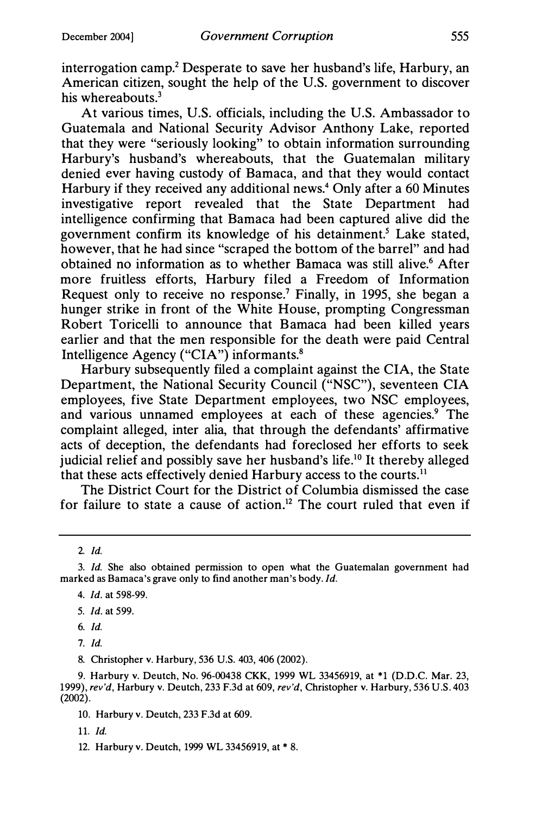interrogation camp.<sup>2</sup> Desperate to save her husband's life, Harbury, an American citizen, sought the help of the U.S. government to discover his whereabouts.<sup>3</sup>

At various times, U.S. officials, including the U.S. Ambassador to Guatemala and National Security Advisor Anthony Lake, reported that they were "seriously looking" to obtain information surrounding Harbury's husband's whereabouts, that the Guatemalan military denied ever having custody of Bamaca, and that they would contact Harbury if they received any additional news.<sup>4</sup> Only after a 60 Minutes investigative report revealed that the State Department had intelligence confirming that Bamaca had been captured alive did the government confirm its knowledge of his detainment.<sup>5</sup> Lake stated, however, that he had since "scraped the bottom of the barrel" and had obtained no information as to whether Bamaca was still alive.6 After more fruitless efforts, Harbury filed a Freedom of Information Request only to receive no response.<sup>7</sup> Finally, in 1995, she began a hunger strike in front of the White House, prompting Congressman Robert Toricelli to announce that Bamaca had been killed years earlier and that the men responsible for the death were paid Central Intelligence Agency ("CIA") informants.8

Harbury subsequently filed a complaint against the CIA, the State Department, the National Security Council ("NSC"), seventeen CIA employees, five State Department employees, two NSC employees, and various unnamed employees at each of these agencies.<sup>9</sup> The complaint alleged, inter alia, that through the defendants' affirmative acts of deception, the defendants had foreclosed her efforts to seek judicial relief and possibly save her husband's life.<sup>10</sup> It thereby alleged that these acts effectively denied Harbury access to the courts.<sup>11</sup>

The District Court for the District of Columbia dismissed the case for failure to state a cause of action.<sup>12</sup> The court ruled that even if

- 5. Id. at 599.
- 6. Id.
- 7. Id.

8. Christopher v. Harbury, 536 U.S. 403, 406 (2002).

9. Harbury v. Deutch, No. 96-00438 CKK, 1999 WL 33456919, at \*1 (D.D.C. Mar. 23, 1999), rev'd, Harbury v. Deutch, 233 F.3d at 609, rev'd, Christopher v. Harbury, 536 U.S. 403 (2002).

11. Id.

<sup>2</sup> Id.

<sup>3.</sup> Id. She also obtained permission to open what the Guatemalan government had marked as Bamaca's grave only to find another man's body. Id.

<sup>4.</sup> Id. at 598-99.

<sup>10.</sup> Harbury v. Deutch, 233 F.3d at 609.

<sup>12.</sup> Harbury v. Deutch, 1999 WL 33456919, at \*8.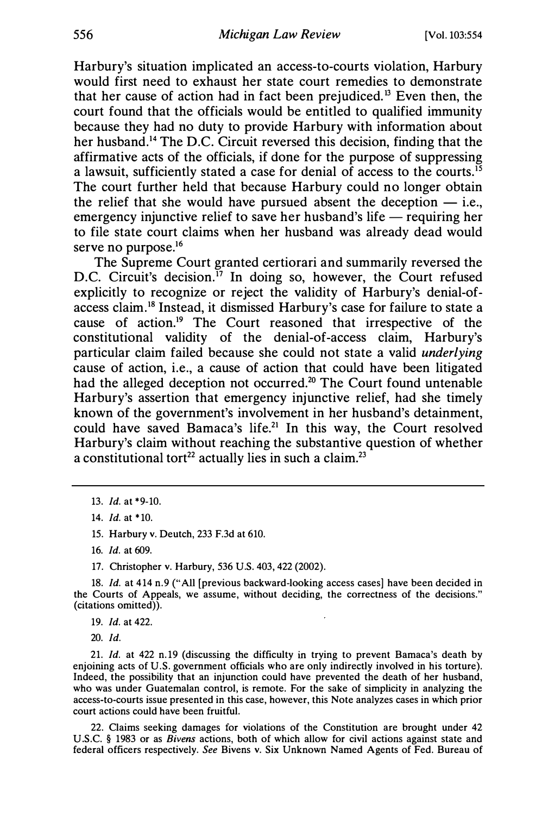Harbury's situation implicated an access-to-courts violation, Harbury would first need to exhaust her state court remedies to demonstrate that her cause of action had in fact been prejudiced.<sup>13</sup> Even then, the court found that the officials would be entitled to qualified immunity because they had no duty to provide Harbury with information about her husband.<sup>14</sup> The D.C. Circuit reversed this decision, finding that the affirmative acts of the officials, if done for the purpose of suppressing a lawsuit, sufficiently stated a case for denial of access to the courts.<sup>15</sup> The court further held that because Harbury could no longer obtain the relief that she would have pursued absent the deception  $-$  i.e., emergency injunctive relief to save her husband's life  $-$  requiring her to file state court claims when her husband was already dead would serve no purpose.<sup>16</sup>

The Supreme Court granted certiorari and summarily reversed the D.C. Circuit's decision.<sup>17</sup> In doing so, however, the Court refused explicitly to recognize or reject the validity of Harbury's denial-ofaccess claim.18 Instead, it dismissed Harbury's case for failure to state a cause of action.19 The Court reasoned that irrespective of the constitutional validity of the denial-of-access claim, Harbury's particular claim failed because she could not state a valid underlying cause of action, i.e., a cause of action that could have been litigated had the alleged deception not occurred.<sup>20</sup> The Court found untenable Harbury's assertion that emergency injunctive relief, had she timely known of the government's involvement in her husband's detainment, could have saved Bamaca's life.<sup>21</sup> In this way, the Court resolved Harbury's claim without reaching the substantive question of whether a constitutional tort<sup>22</sup> actually lies in such a claim.<sup>23</sup>

15. Harbury v. Deutch, 233 F.3d at 610.

16. Id. at 609.

17. Christopher v. Harbury, 536 U.S. 403, 422 (2002).

18. Id. at 414 n.9 ("All [previous backward-looking access cases] have been decided in the Courts of Appeals, we assume, without deciding, the correctness of the decisions." (citations omitted)).

19. Id. at 422.

20. Id.

21. Id. at 422 n.19 (discussing the difficulty in trying to prevent Bamaca's death by enjoining acts of U.S. government officials who are only indirectly involved in his torture). Indeed, the possibility that an injunction could have prevented the death of her husband, who was under Guatemalan control, is remote. For the sake of simplicity in analyzing the access-to-courts issue presented in this case, however, this Note analyzes cases in which prior court actions could have been fruitful.

22. Claims seeking damages for violations of the Constitution are brought under 42 U.S.C. § 1983 or as Bivens actions, both of which allow for civil actions against state and federal officers respectively. See Bivens v. Six Unknown Named Agents of Fed. Bureau of

<sup>13.</sup> Id. at \*9-10.

<sup>14.</sup> Id. at \*10.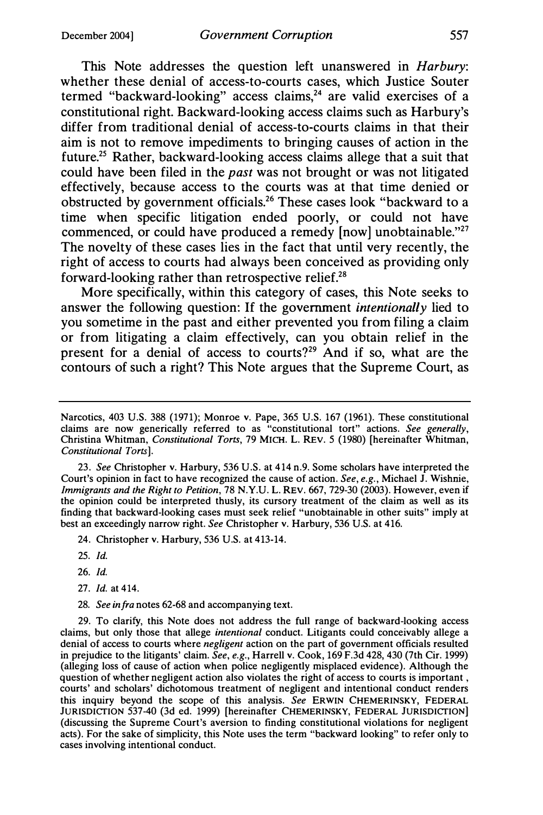This Note addresses the question left unanswered in Harbury: whether these denial of access-to-courts cases, which Justice Souter termed "backward-looking" access claims, $24$  are valid exercises of a constitutional right. Backward-looking access claims such as Harbury's differ from traditional denial of access-to-courts claims in that their aim is not to remove impediments to bringing causes of action in the future.25 Rather, backward-looking access claims allege that a suit that could have been filed in the *past* was not brought or was not litigated effectively, because access to the courts was at that time denied or obstructed by government officials.26 These cases look "backward to a time when specific litigation ended poorly, or could not have commenced, or could have produced a remedy [now] unobtainable."<sup>27</sup> The novelty of these cases lies in the fact that until very recently, the right of access to courts had always been conceived as providing only forward-looking rather than retrospective relief.<sup>28</sup>

More specifically, within this category of cases, this Note seeks to answer the following question: If the government *intentionally* lied to you sometime in the past and either prevented you from filing a claim or from litigating a claim effectively, can you obtain relief in the present for a denial of access to courts?<sup>29</sup> And if so, what are the contours of such a right? This Note argues that the Supreme Court, as

23. See Christopher v. Harbury, 536 U.S. at 414 n.9. Some scholars have interpreted the Court's opinion in fact to have recognized the cause of action. See, e.g., Michael J. Wishnie, Immigrants and the Right to Petition, 78 N.Y.U. L. REV. 667, 729-30 (2003). However, even if the opinion could be interpreted thusly, its cursory treatment of the claim as well as its finding that backward-looking cases must seek relief "unobtainable in other suits" imply at best an exceedingly narrow right. See Christopher v. Harbury, 536 U.S. at 416.

24. Christopher v. Harbury, 536 U.S. at 413-14.

- 25. Id.
- 26. Id.
- 27. Id. at 414.
- 28. See in fra notes 62-68 and accompanying text.

29. To clarify, this Note does not address the full range of backward-looking access claims, but only those that allege intentional conduct. Litigants could conceivably allege a denial of access to courts where negligent action on the part of government officials resulted in prejudice to the litigants' claim. See, e.g., Harrell v. Cook, 169 F.3d 428, 430 (7th Cir. 1999) (alleging loss of cause of action when police negligently misplaced evidence). Although the question of whether negligent action also violates the right of access to courts is important , courts' and scholars' dichotomous treatment of negligent and intentional conduct renders this inquiry beyond the scope of this analysis. See ERWIN CHEMERINSKY, FEDERAL JURISDICTION 537-40 (3d ed. 1999) [hereinafter CHEMERINSKY, FEDERAL JURISDICTION] (discussing the Supreme Court's aversion to finding constitutional violations for negligent acts). For the sake of simplicity, this Note uses the term "backward looking" to refer only to cases involving intentional conduct.

Narcotics, 403 U.S. 388 (1971); Monroe v. Pape, 365 U.S. 167 (1961). These constitutional claims are now generically referred to as "constitutional tort" actions. See generally, Christina Whitman, Constitutional Torts, 79 MICH. L. REV. 5 (1980) [hereinafter Whitman, Constitutional Torts].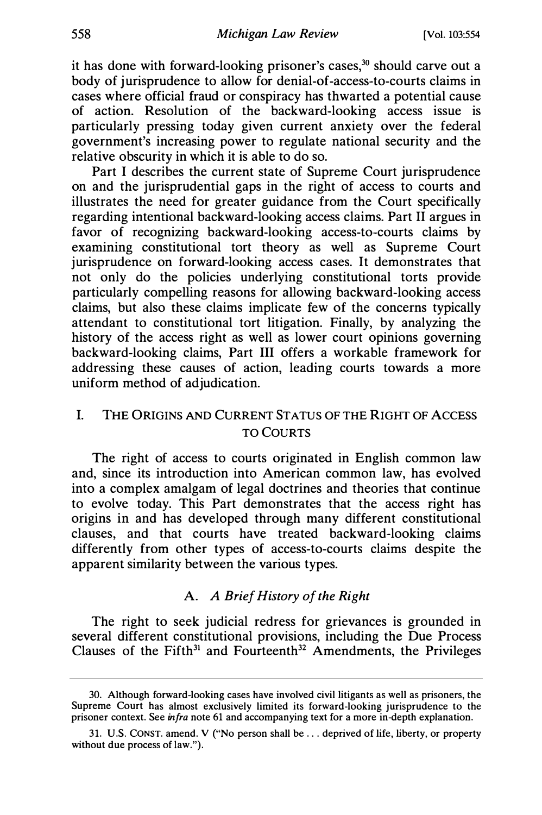it has done with forward-looking prisoner's cases,<sup>30</sup> should carve out a body of jurisprudence to allow for denial-of-access-to-courts claims in cases where official fraud or conspiracy has thwarted a potential cause of action. Resolution of the backward-looking access issue is particularly pressing today given current anxiety over the federal government's increasing power to regulate national security and the relative obscurity in which it is able to do so.

Part I describes the current state of Supreme Court jurisprudence on and the jurisprudential gaps in the right of access to courts and illustrates the need for greater guidance from the Court specifically regarding intentional backward-looking access claims. Part II argues in favor of recognizing backward-looking access-to-courts claims by examining constitutional tort theory as well as Supreme Court jurisprudence on forward-looking access cases. It demonstrates that not only do the policies underlying constitutional torts provide particularly compelling reasons for allowing backward-looking access claims, but also these claims implicate few of the concerns typically attendant to constitutional tort litigation. Finally, by analyzing the history of the access right as well as lower court opinions governing backward-looking claims, Part III offers a workable framework for addressing these causes of action, leading courts towards a more uniform method of adjudication.

# I. THE ORIGINS AND CURRENT STATUS OF THE RIGHT OF ACCESS TO COURTS

The right of access to courts originated in English common law and, since its introduction into American common law, has evolved into a complex amalgam of legal doctrines and theories that continue to evolve today. This Part demonstrates that the access right has origins in and has developed through many different constitutional clauses, and that courts have treated backward-looking claims differently from other types of access-to-courts claims despite the apparent similarity between the various types.

### A. A Brief History of the Right

The right to seek judicial redress for grievances is grounded in several different constitutional provisions, including the Due Process Clauses of the Fifth<sup>31</sup> and Fourteenth<sup>32</sup> Amendments, the Privileges

<sup>30.</sup> Although forward-looking cases have involved civil litigants as well as prisoners, the Supreme Court has almost exclusively limited its forward-looking jurisprudence to the prisoner context. See *infra* note 61 and accompanying text for a more in-depth explanation.

<sup>31.</sup> U. S. CONST. amend. V ("No person shall be ... deprived of life, liberty, or property without due process of law.").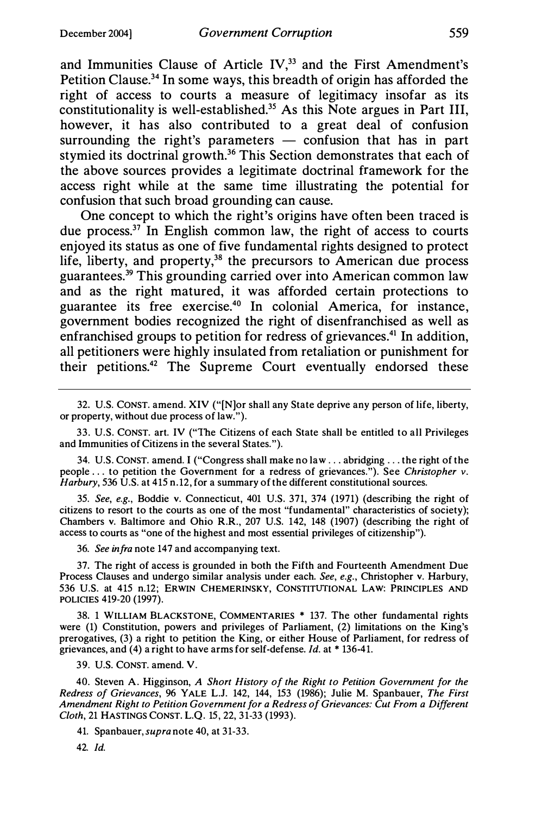and Immunities Clause of Article IV,<sup>33</sup> and the First Amendment's Petition Clause.34 In some ways, this breadth of origin has afforded the right of access to courts a measure of legitimacy insofar as its constitutionality is well-established.35 As this Note argues in Part III, however, it has also contributed to a great deal of confusion surrounding the right's parameters  $-$  confusion that has in part stymied its doctrinal growth.<sup>36</sup> This Section demonstrates that each of the above sources provides a legitimate doctrinal framework for the access right while at the same time illustrating the potential for confusion that such broad grounding can cause.

One concept to which the right's origins have often been traced is due process.<sup>37</sup> In English common law, the right of access to courts enjoyed its status as one of five fundamental rights designed to protect life, liberty, and property, $38$  the precursors to American due process guarantees.39 This grounding carried over into American common law and as the right matured, it was afforded certain protections to guarantee its free exercise.40 In colonial America, for instance, government bodies recognized the right of disenfranchised as well as enfranchised groups to petition for redress of grievances.<sup>41</sup> In addition, all petitioners were highly insulated from retaliation or punishment for their petitions.<sup>42</sup> The Supreme Court eventually endorsed these

33. U.S. CONST. art. IV ("The Citizens of each State shall be entitled to all Privileges and Immunities of Citizens in the several States.").

34. U.S. CONST. amend. I ("Congress shall make no law ... abridging ... the right of the people .. . to petition the Government for a redress of grievances."). See Christopher v. Harbury, 536 U.S. at 415 n.12, for a summary of the different constitutional sources.

35. See, e.g., Boddie v. Connecticut, 401 U.S. 371, 374 (1971) (describing the right of citizens to resort to the courts as one of the most "fundamental" characteristics of society); Chambers v. Baltimore and Ohio R.R., 207 U.S. 142, 148 (1907) (describing the right of access to courts as "one of the highest and most essential privileges of citizenship").

36. See infra note 147 and accompanying text.

37. The right of access is grounded in both the Fifth and Fourteenth Amendment Due Process Clauses and undergo similar analysis under each. See, e.g., Christopher v. Harbury, 536 U.S. at 415 n.12; ERWIN CHEMERINSKY, CONSTITUTIONAL LAW: PRINCIPLES AND POLICIES 419-20 (1997).

38. 1 WILLIAM BLACKSTONE, COMMENTARIES \* 137. The other fundamental rights were (1) Constitution, powers and privileges of Parliament, (2) limitations on the King's prerogatives, (3) a right to petition the King, or either House of Parliament, for redress of grievances, and  $(4)$  a right to have arms for self-defense. *Id.* at \*136-41.

39. U.S. CONST. amend. V.

40. Steven A. Higginson, A Short History of the Right to Petition Government for the Redress of Grievances, 96 YALE L.J. 142, 144, 153 (1986); Julie M. Spanbauer, The First Amendment Right to Petition Government for a Redress of Grievances: Cut From a Different Cloth, 21 HASTINGS CONST. L.Q. 15, 22, 31-33 (1993).

41. Spanbauer, supra note 40, at 31-33.

42 Id.

<sup>32.</sup> U.S. CONST. amend. XIV ("[N)or shall any State deprive any person of life, liberty, or property, without due process of law.").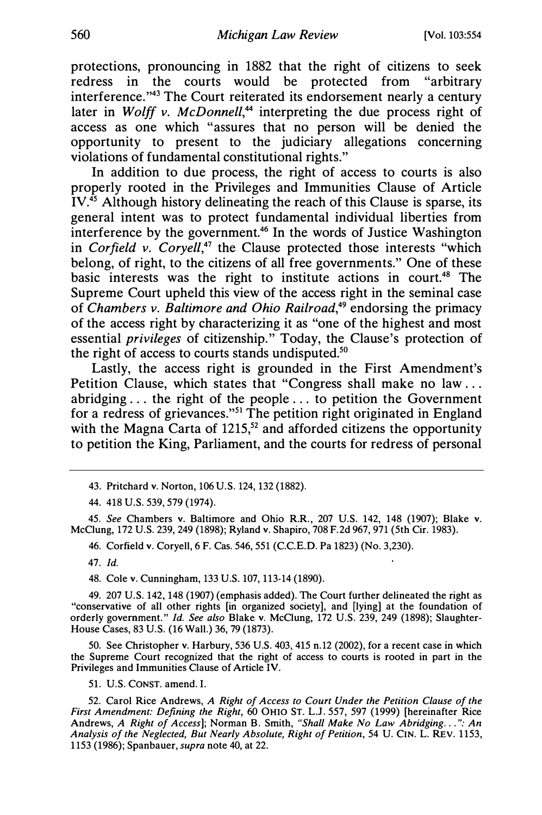protections, pronouncing in 1882 that the right of citizens to seek redress in the courts would be protected from "arbitrary interference."43 The Court reiterated its endorsement nearly a century later in Wolff v. McDonnell,<sup>44</sup> interpreting the due process right of access as one which "assures that no person will be denied the opportunity to present to the judiciary allegations concerning violations of fundamental constitutional rights."

In addition to due process, the right of access to courts is also properly rooted in the Privileges and Immunities Clause of Article  $IV<sup>45</sup>$  Although history delineating the reach of this Clause is sparse, its general intent was to protect fundamental individual liberties from interference by the government.46 In the words of Justice Washington in Corfield v. Coryell,<sup>47</sup> the Clause protected those interests "which belong, of right, to the citizens of all free governments." One of these basic interests was the right to institute actions in court.<sup>48</sup> The Supreme Court upheld this view of the access right in the seminal case of Chambers v. Baltimore and Ohio Railroad, $49$  endorsing the primacy of the access right by characterizing it as "one of the highest and most essential privileges of citizenship." Today, the Clause's protection of the right of access to courts stands undisputed.<sup>50</sup>

Lastly, the access right is grounded in the First Amendment's Petition Clause, which states that "Congress shall make no law ... abridging ... the right of the people ... to petition the Government for a redress of grievances."51 The petition right originated in England with the Magna Carta of  $1215$ ,<sup>52</sup> and afforded citizens the opportunity to petition the King, Parliament, and the courts for redress of personal

43. Pritchard v. Norton, 106 U.S. 124, 132 (1882).

44. 418 U.S. 539, 579 (1974).

45. See Chambers v. Baltimore and Ohio R.R., 207 U.S. 142, 148 (1907); Blake v. McClung, 172 U.S. 239, 249 (1898); Ryland v. Shapiro, 708 F.2d 967, 971 (5th Cir. 1983).

46. Corfield v. Coryell, 6 F. Cas. 546, 551 (C.C.E.D. Pa 1823) (No. 3,230).

47. Id.

48. Cole v. Cunningham, 133 U.S. 107, 113-14 (1890).

49. 207 U.S. 142, 148 (1907) (emphasis added). The Court further delineated the right as "conservative of all other rights [in organized society], and [lying] at the foundation of orderly government." Id. See also Blake v. McClung, 172 U.S. 239, 249 (1898); Slaughter-House Cases, 83 U.S. (16 Wall.) 36, 79 (1873).

50. See Christopher v. Harbury, 536 U.S. 403, 415 n.12 (2002), for a recent case in which the Supreme Court recognized that the right of access to courts is rooted in part in the Privileges and Immunities Clause of Article IV.

51. U.S. CONST. amend. I.

52. Carol Rice Andrews, A Right of Access to Court Under the Petition Clause of the First Amendment: Defining the Right, 60 OHIO ST. L.J. 557, 597 (1999) [hereinafter Rice Andrews, A Right of Access]; Norman B. Smith, "Shall Make No Law Abridging...": An Analysis of the Neglected, But Nearly Absolute, Right of Petition, 54 U. CIN. L. REV. 1153, 1153 (1986); Spanbauer, *supra* note 40, at 22.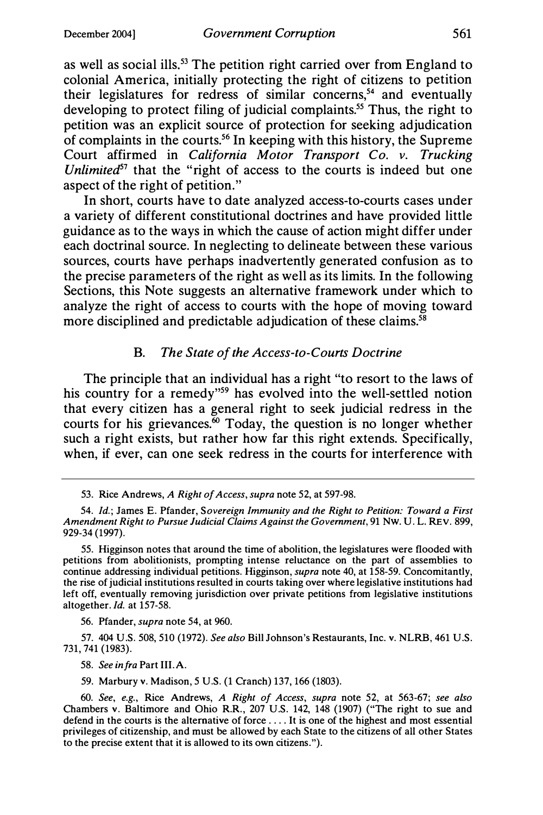as well as social ills.<sup>53</sup> The petition right carried over from England to colonial America, initially protecting the right of citizens to petition their legislatures for redress of similar concerns,<sup>54</sup> and eventually developing to protect filing of judicial complaints.<sup>55</sup> Thus, the right to petition was an explicit source of protection for seeking adjudication of complaints in the courts.<sup>56</sup> In keeping with this history, the Supreme Court affirmed in California Motor Transport Co. v. Trucking Unlimited<sup>57</sup> that the "right of access to the courts is indeed but one aspect of the right of petition."

In short, courts have to date analyzed access-to-courts cases under a variety of different constitutional doctrines and have provided little guidance as to the ways in which the cause of action might differ under each doctrinal source. In neglecting to delineate between these various sources, courts have perhaps inadvertently generated confusion as to the precise parameters of the right as well as its limits. In the following Sections, this Note suggests an alternative framework under which to analyze the right of access to courts with the hope of moving toward more disciplined and predictable adjudication of these claims.<sup>58</sup>

#### B. The State of the Access-to-Courts Doctrine

The principle that an individual has a right "to resort to the laws of his country for a remedy"<sup>59</sup> has evolved into the well-settled notion that every citizen has a general right to seek judicial redress in the courts for his grievances.<sup>60</sup> Today, the question is no longer whether such a right exists, but rather how far this right extends. Specifically, when, if ever, can one seek redress in the courts for interference with

56. Pfander, supra note 54, at 960.

57. 404 U.S. 508, 510 (1972). See also Bill Johnson's Restaurants, Inc. v. NLRB, 461 U.S. 731, 741 (1983).

58. See infra Part III.A.

59. Marbury v. Madison, 5 U.S. (1 Cranch) 137, 166 (1803).

<sup>53.</sup> Rice Andrews, A Right of Access, supra note 52, at 597-98.

<sup>54.</sup> Id.; James E. Pfander, Sovereign Immunity and the Right to Petition: Toward a First Amendment Right to Pursue Judicial Claims Against the Government, 91 Nw. U. L. REV. 899, 929-34 (1997).

<sup>55.</sup> Higginson notes that around the time of abolition, the legislatures were flooded with petitions from abolitionists, prompting intense reluctance on the part of assemblies to continue addressing individual petitions. Higginson, *supra* note 40, at 158-59. Concomitantly, the rise of judicial institutions resulted in courts taking over where legislative institutions had left off, eventually removing jurisdiction over private petitions from legislative institutions altogether. Id. at 157-58.

<sup>60.</sup> See, e.g., Rice Andrews, A Right of Access, supra note 52, at 563-67; see also Chambers v. Baltimore and Ohio R.R., 207 U.S. 142, 148 (1907) ("The right to sue and defend in the courts is the alternative of force .... It is one of the highest and most essential privileges of citizenship, and must be allowed by each State to the citizens of all other States to the precise extent that it is allowed to its own citizens. ").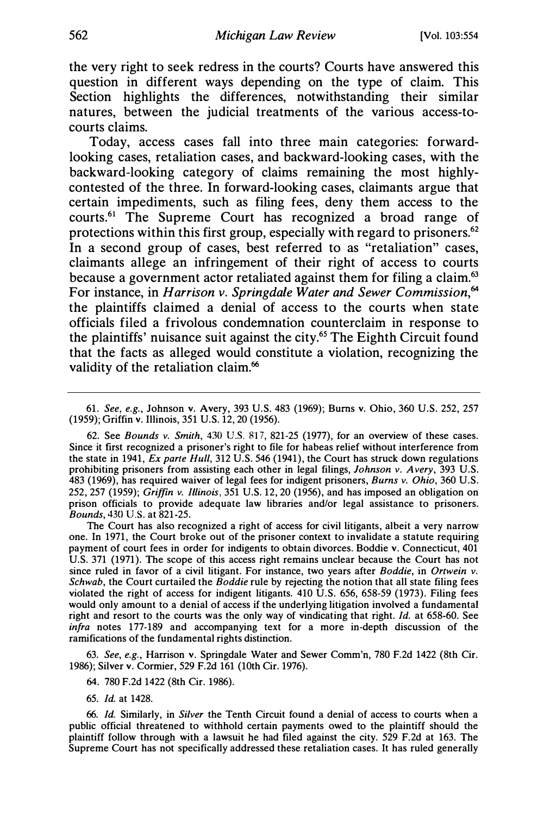the very right to seek redress in the courts? Courts have answered this question in different ways depending on the type of claim. This Section highlights the differences, notwithstanding their similar natures, between the judicial treatments of the various access-tocourts claims.

Today, access cases fall into three main categories: forwardlooking cases, retaliation cases, and backward-looking cases, with the backward-looking category of claims remaining the most highlycontested of the three. In forward-looking cases, claimants argue that certain impediments, such as filing fees, deny them access to the courts.61 The Supreme Court has recognized a broad range of protections within this first group, especially with regard to prisoners.<sup>62</sup> In a second group of cases, best referred to as "retaliation" cases, claimants allege an infringement of their right of access to courts because a government actor retaliated against them for filing a claim.<sup>63</sup> For instance, in Harrison v. Springdale Water and Sewer Commission,<sup>64</sup> the plaintiffs claimed a denial of access to the courts when state officials filed a frivolous condemnation counterclaim in response to the plaintiffs' nuisance suit against the city.<sup>65</sup> The Eighth Circuit found that the facts as alleged would constitute a violation, recognizing the validity of the retaliation claim.<sup>66</sup>

61. See, e.g., Johnson v. Avery, 393 U.S. 483 (1969); Burns v. Ohio, 360 U.S. 252, 257 (1959); Griffin v. Illinois, 351 U.S. 12, 20 (1956).

62. See Bounds v. Smith, 430 U.S. 817, 821-25 (1977), for an overview of these cases. Since it first recognized a prisoner's right to file for habeas relief without interference from the state in 1941,  $Ex$  parte Hull, 312 U.S. 546 (1941), the Court has struck down regulations prohibiting prisoners from assisting each other in legal filings, Johnson v. Avery, 393 U.S. 483 (1969), has required waiver of legal fees for indigent prisoners, Burns v. Ohio, 360 U.S. 252, 257 (1959); Griffin v. Illinois, 351 U.S. 12, 20 (1956), and has imposed an obligation on prison officials to provide adequate law libraries and/or legal assistance to prisoners. Bounds, 430 U.S. at 821-25.

The Court has also recognized a right of access for civil litigants, albeit a very narrow one. In 1971, the Court broke out of the prisoner context to invalidate a statute requiring payment of court fees in order for indigents to obtain divorces. Boddie v. Connecticut, 401 U.S. 371 (1971). The scope of this access right remains unclear because the Court has not since ruled in favor of a civil litigant. For instance, two years after *Boddie*, in Ortwein v. Schwab, the Court curtailed the Boddie rule by rejecting the notion that all state filing fees violated the right of access for indigent litigants. 410 U.S. 656, 658-59 (1973). Filing fees would only amount to a denial of access if the underlying litigation involved a fundamental right and resort to the courts was the only way of vindicating that right. Id. at 658-60. See infra notes 177-189 and accompanying text for a more in-depth discussion of the ramifications of the fundamental rights distinction.

63. See, e.g., Harrison v. Springdale Water and Sewer Comm'n, 780 F.2d 1422 (8th Cir. 1986); Silver v. Cormier, 529 F.2d 161 (10th Cir. 1976).

64. 780 F.2d 1422 (8th Cir. 1986).

65. Id. at 1428.

66. Id. Similarly, in Silver the Tenth Circuit found a denial of access to courts when a public official threatened to withhold certain payments owed to the plaintiff should the plaintiff follow through with a lawsuit he had filed against the city. 529 F.2d at 163. The Supreme Court has not specifically addressed these retaliation cases. It has ruled generally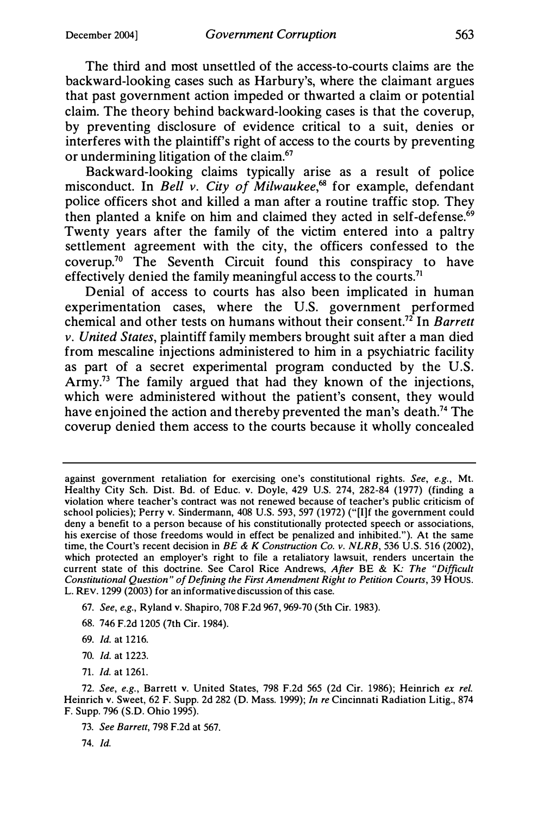The third and most unsettled of the access-to-courts claims are the backward-looking cases such as Harbury's, where the claimant argues that past government action impeded or thwarted a claim or potential claim. The theory behind backward-looking cases is that the coverup, by preventing disclosure of evidence critical to a suit, denies or interferes with the plaintiff's right of access to the courts by preventing or undermining litigation of the claim.67

Backward-looking claims typically arise as a result of police misconduct. In Bell v. City of Milwaukee,<sup>68</sup> for example, defendant police officers shot and killed a man after a routine traffic stop. They then planted a knife on him and claimed they acted in self-defense.<sup>69</sup> Twenty years after the family of the victim entered into a paltry settlement agreement with the city, the officers confessed to the  $cover up.<sup>70</sup>$  The Seventh Circuit found this conspiracy to have effectively denied the family meaningful access to the courts.<sup>71</sup>

Denial of access to courts has also been implicated in human experimentation cases, where the U.S. government performed chemical and other tests on humans without their consent.<sup>72</sup> In *Barrett*  $\nu$ . United States, plaintiff family members brought suit after a man died from mescaline injections administered to him in a psychiatric facility as part of a secret experimental program conducted by the U.S. Army.<sup>73</sup> The family argued that had they known of the injections, which were administered without the patient's consent, they would have enjoined the action and thereby prevented the man's death.<sup>74</sup> The coverup denied them access to the courts because it wholly concealed

- 67. See, e.g., Ryland v. Shapiro, 708 F.2d 967, 969-70 (5th Cir. 1983).
- 68. 746 F.2d 1205 (7th Cir. 1984).
- 69. Id. at 1216.
- 70. Id. at 1223.
- 71. Id. at 1261.

74. Id.

against government retaliation for exercising one's constitutional rights. See, e.g., Mt. Healthy City Sch. Dist. Bd. of Educ. v. Doyle, 429 U.S. 274, 282-84 (1977) (finding a violation where teacher's contract was not renewed because of teacher's public criticism of school policies); Perry v. Sindermann, 408 U.S. 593, 597 (1972) ("[I]f the government could deny a benefit to a person because of his constitutionally protected speech or associations, his exercise of those freedoms would in effect be penalized and inhibited."). At the same time, the Court's recent decision in  $BE \& K$  Construction Co. v. NLRB, 536 U.S. 516 (2002), which protected an employer's right to file a retaliatory lawsuit, renders uncertain the current state of this doctrine. See Carol Rice Andrews, After BE & K· The "Difficult Constitutional Question" of Defining the First Amendment Right to Petition Couns, 39 Hous. L. REV. 1299 (2003) for an informative discussion of this case.

<sup>72.</sup> See, e.g., Barrett v. United States, 798 F.2d 565 (2d Cir. 1986); Heinrich ex rel. Heinrich v. Sweet, 62 F. Supp. 2d 282 (D. Mass. 1999); In re Cincinnati Radiation Litig., 874 F. Supp. 796 (S.D. Ohio 1995).

<sup>73.</sup> See Barrett, 798 F.2d at 567.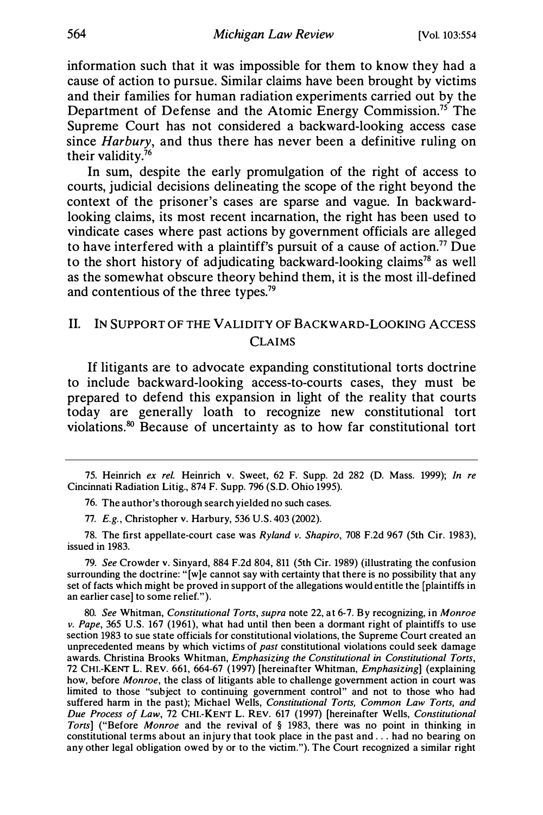information such that it was impossible for them to know they had a cause of action to pursue. Similar claims have been brought by victims and their families for human radiation experiments carried out by the Department of Defense and the Atomic Energy Commission.<sup>75</sup> The Supreme Court has not considered a backward-looking access case since *Harbury*, and thus there has never been a definitive ruling on their validity.76

In sum, despite the early promulgation of the right of access to courts, judicial decisions delineating the scope of the right beyond the context of the prisoner's cases are sparse and vague. In backwardlooking claims, its most recent incarnation, the right has been used to vindicate cases where past actions by government officials are alleged to have interfered with a plaintiff's pursuit of a cause of action.<sup>77</sup> Due to the short history of adjudicating backward-looking claims<sup>78</sup> as well as the somewhat obscure theory behind them, it is the most ill-defined and contentious of the three types.<sup>79</sup>

# II. IN SUPPORT OF THE VALIDITY OF BACKWARD-LOOKING ACCESS CLAIMS

If litigants are to advocate expanding constitutional torts doctrine to include backward-looking access-to-courts cases, they must be prepared to defend this expansion in light of the reality that courts today are generally loath to recognize new constitutional tort violations.80 Because of uncertainty as to how far constitutional tort

79. See Crowder v. Sinyard, 884 F.2d 804, 811 (5th Cir. 1989) (illustrating the confusion surrounding the doctrine: "(w]e cannot say with certainty that there is no possibility that any set of facts which might be proved in support of the allegations would entitle the [plaintiffs in an earlier case] to some relief.").

80. See Whitman, Constitutional Torts, supra note 22, at 6-7. By recognizing, in Monroe v. Pape, 365 U.S. 167 (1961), what had until then been a dormant right of plaintiffs to use section 1983 to sue state officials for constitutional violations, the Supreme Court created an unprecedented means by which victims of past constitutional violations could seek damage awards. Christina Brooks Whitman, Emphasizing the Constitutional in Constitutional Torts, 72 CHI.-KENT L. REV. 661, 664-67 (1997) [hereinafter Whitman, Emphasizing] (explaining how, before *Monroe*, the class of litigants able to challenge government action in court was limited to those "subject to continuing government control" and not to those who had suffered harm in the past); Michael Wells, *Constitutional Torts, Common Law Torts, and* Due Process of Law, 72 CHI.-KENT L. REV. 617 (1997) (hereinafter Wells, Constitutional Torts] ("Before Monroe and the revival of § 1983, there was no point in thinking in constitutional terms about an injury that took place in the past and ... had no bearing on any other legal obligation owed by or to the victim."). The Court recognized a similar right

<sup>75.</sup> Heinrich ex rel. Heinrich v. Sweet, 62 F. Supp. 2d 282 (D. Mass. 1999); In re Cincinnati Radiation Litig., 874 F. Supp. 796 (S.D. Ohio 1995).

<sup>76.</sup> The author's thorough search yielded no such cases.

<sup>77.</sup> E.g., Christopher v. Harbury, 536 U.S. 403 (2002).

<sup>78.</sup> The first appellate-court case was Ryland v. Shapiro, 708 F.2d 967 (5th Cir. 1983), issued in 1983.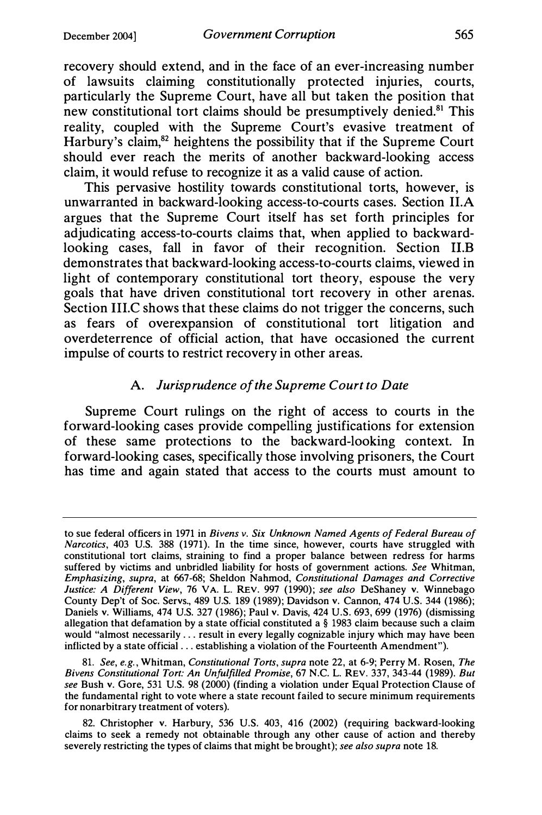recovery should extend, and in the face of an ever-increasing number of lawsuits claiming constitutionally protected injuries, courts, particularly the Supreme Court, have all but taken the position that new constitutional tort claims should be presumptively denied.<sup>81</sup> This reality, coupled with the Supreme Court's evasive treatment of Harbury's claim,<sup>82</sup> heightens the possibility that if the Supreme Court should ever reach the merits of another backward-looking access claim, it would refuse to recognize it as a valid cause of action.

This pervasive hostility towards constitutional torts, however, is unwarranted in backward-looking access-to-courts cases. Section II.A argues that the Supreme Court itself has set forth principles for adjudicating access-to-courts claims that, when applied to backwardlooking cases, fall in favor of their recognition. Section 11.B demonstrates that backward-looking access-to-courts claims, viewed in light of contemporary constitutional tort theory, espouse the very goals that have driven constitutional tort recovery in other arenas. Section III.C shows that these claims do not trigger the concerns, such as fears of overexpansion of constitutional tort litigation and overdeterrence of official action, that have occasioned the current impulse of courts to restrict recovery in other areas.

## A. Jurisprudence of the Supreme Court to Date

Supreme Court rulings on the right of access to courts in the forward-looking cases provide compelling justifications for extension of these same protections to the backward-looking context. In forward-looking cases, specifically those involving prisoners, the Court has time and again stated that access to the courts must amount to

to sue federal officers in 1971 in Bivens v. Six Unknown Named Agents of Federal Bureau of Narcotics, 403 U.S. 388 (1971). In the time since, however, courts have struggled with constitutional tort claims, straining to find a proper balance between redress for harms suffered by victims and unbridled liability for hosts of government actions. See Whitman, Emphasizing, supra, at 667-68; Sheldon Nahmod, Constitutional Damages and Corrective Justice: A Different View, 76 VA. L. REV. 997 (1990); see also DeShaney v. Winnebago County Dep't of Soc. Servs., 489 U.S. 189 (1989); Davidson v. Cannon, 474 U.S. 344 (1986); Daniels v. Williams, 474 U.S. 327 (1986); Paul v. Davis, 424 U.S. 693, 699 (1976) (dismissing allegation that defamation by a state official constituted a§ 1983 claim because such a claim would "almost necessarily . . . result in every legally cognizable injury which may have been inflicted by a state official ... establishing a violation of the Fourteenth Amendment").

<sup>81.</sup> See, e.g., Whitman, Constitutional Torts, supra note 22, at 6-9; Perry M. Rosen, The Bivens Constitutional Tort: An Unfulfilled Promise, 67 N.C. L. REV. 337, 343-44 (1989). But see Bush v. Gore, 531 U.S. 98 (2000) (finding a violation under Equal Protection Clause of the fundamental right to vote where a state recount failed to secure minimum requirements for nonarbitrary treatment of voters).

<sup>82.</sup> Christopher v. Harbury, 536 U.S. 403, 416 (2002) (requiring backward-looking claims to seek a remedy not obtainable through any other cause of action and thereby severely restricting the types of claims that might be brought); see also supra note 18.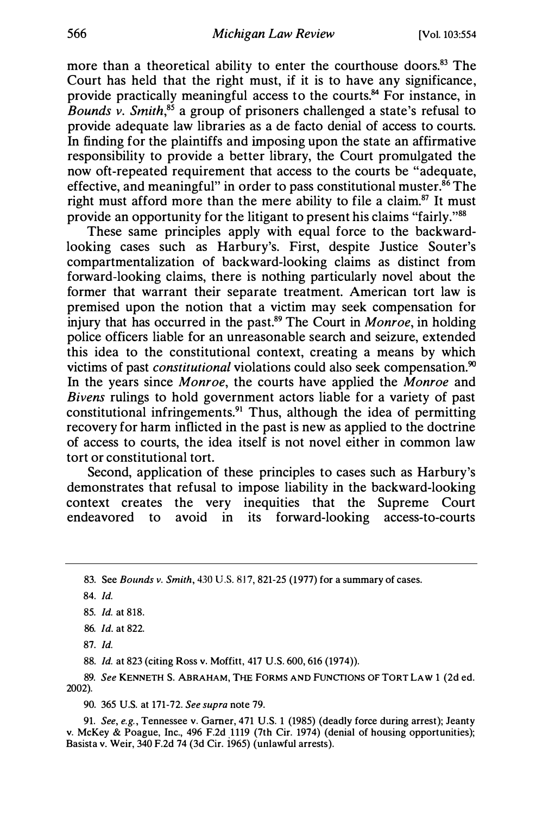more than a theoretical ability to enter the courthouse doors.<sup>83</sup> The Court has held that the right must, if it is to have any significance, provide practically meaningful access to the courts.<sup>84</sup> For instance, in Bounds v. Smith, $85$  a group of prisoners challenged a state's refusal to provide adequate law libraries as a de facto deriial of access to courts. In finding for the plaintiffs and imposing upon the state an affirmative responsibility to provide a better library, the Court promulgated the now oft-repeated requirement that access to the courts be "adequate, effective, and meaningful" in order to pass constitutional muster. $86$  The right must afford more than the mere ability to file a claim.<sup>87</sup> It must provide an opportunity for the litigant to present his claims "fairly."88

These same principles apply with equal force to the backwardlooking cases such as Harbury's. First, despite Justice Souter's compartmentalization of backward-looking claims as distinct from forward-looking claims, there is nothing particularly novel about the former that warrant their separate treatment. American tort law is premised upon the notion that a victim may seek compensation for injury that has occurred in the past.<sup>89</sup> The Court in *Monroe*, in holding police officers liable for an unreasonable search and seizure, extended this idea to the constitutional context, creating a means by which victims of past *constitutional* violations could also seek compensation.<sup>90</sup> In the years since Monroe, the courts have applied the Monroe and Bivens rulings to hold government actors liable for a variety of past constitutional infringements.<sup>91</sup> Thus, although the idea of permitting recovery for harm inflicted in the past is new as applied to the doctrine of access to courts, the idea itself is not novel either in common law tort or constitutional tort.

Second, application of these principles to cases such as Harbury's demonstrates that refusal to impose liability in the backward-looking context creates the very inequities that the Supreme Court endeavored to avoid in its forward-looking access-to-courts

84. Id.

88. Id. at 823 (citing Ross v. Moffitt, 417 U.S. 600, 616 (1974)).

89. See KENNETH S. ABRAHAM, THE FORMS AND FuNCTIONS OF TORT LAW 1 (2d ed. 2002).

90. 365 U.S. at 171-72. See supra note 79.

91. See, e.g., Tennessee v. Garner, 471 U.S. 1 (1985) (deadly force during arrest); Jeanty v. McKey & Poague, Inc., 496 F.2d 1119 (7th Cir. 1974) (denial of housing opportunities); Basista v. Weir, 340 F.2d 74 (3d Cir. 1965) (unlawful arrests).

<sup>83.</sup> See Bounds v. Smith, 430 U.S. 817, 821-25 (1977) for a summary of cases.

<sup>85.</sup> Id. at 818.

<sup>86.</sup> Id. at 822.

<sup>87.</sup> Id.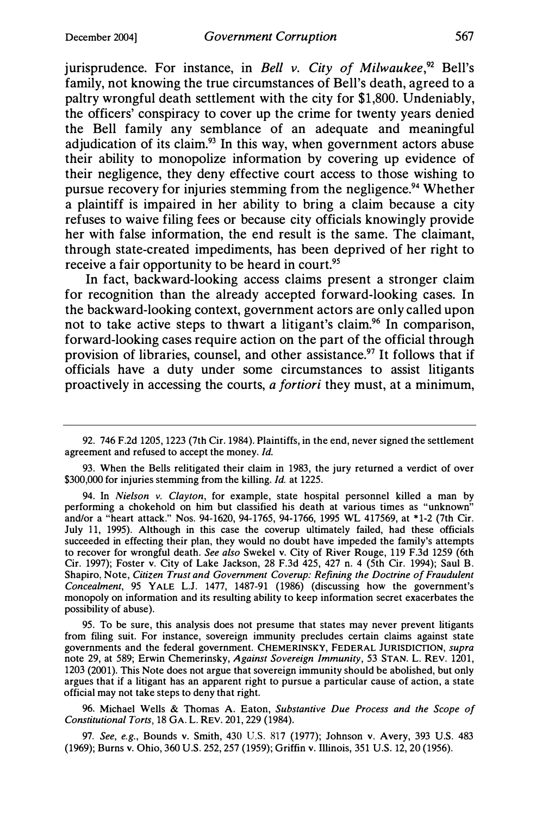jurisprudence. For instance, in Bell v. City of Milwaukee,  $92$  Bell's family, not knowing the true circumstances of Bell's death, agreed to a paltry wrongful death settlement with the city for \$1,800. Undeniably, the officers' conspiracy to cover up the crime for twenty years denied the Bell family any semblance of an adequate and meaningful adjudication of its claim.<sup>93</sup> In this way, when government actors abuse their ability to monopolize information by covering up evidence of their negligence, they deny effective court access to those wishing to pursue recovery for injuries stemming from the negligence.<sup>94</sup> Whether a plaintiff is impaired in her ability to bring a claim because a city refuses to waive filing fees or because city officials knowingly provide her with false information, the end result is the same. The claimant, through state-created impediments, has been deprived of her right to receive a fair opportunity to be heard in court.<sup>95</sup>

In fact, backward-looking access claims present a stronger claim for recognition than the already accepted forward-looking cases. In the backward-looking context, government actors are only called upon not to take active steps to thwart a litigant's claim.<sup>96</sup> In comparison, forward-looking cases require action on the part of the official through provision of libraries, counsel, and other assistance.<sup>97</sup> It follows that if officials have a duty under some circumstances to assist litigants proactively in accessing the courts, a fortiori they must, at a minimum,

95. To be sure, this analysis does not presume that states may never prevent litigants from filing suit. For instance, sovereign immunity precludes certain claims against state governments and the federal government. CHEMERINSKY, FEDERAL JURISDICTION, supra note 29, at 589; Erwin Chemerinsky, Against Sovereign Immunity, 53 STAN. L. REV. 1201, 1203 (2001). This Note does not argue that sovereign immunity should be abolished, but only argues that if a litigant has an apparent right to pursue a particular cause of action, a state official may not take steps to deny that right.

96. Michael Wells & Thomas A. Eaton, Substantive Due Process and the Scope of Constitutional Torts, 18 GA. L. REV. 201, 229 (1984).

97. See, e.g., Bounds v. Smith, 430 U.S. 817 (1977); Johnson v. Avery, 393 U.S. 483 (1969); Burns v. Ohio, 360 U.S. 252, 257 (1959); Griffin v. Illinois, 351 U.S. 12, 20 (1956).

<sup>92. 746</sup> F.2d 1205, 1223 (7th Cir. 1984). Plaintiffs, in the end, never signed the settlement agreement and refused to accept the money. Id.

<sup>93.</sup> When the Bells relitigated their claim in 1983, the jury returned a verdict of over \$300,000 for injuries stemming from the killing. *Id.* at 1225.

<sup>94.</sup> In Nielson v. Clayton, for example, state hospital personnel killed a man by performing a chokehold on him but classified his death at various times as "unknown" and/or a "heart attack." Nos. 94-1620, 94-1765, 94-1766, 1995 WL 417569, at \*1-2 (7th Cir. July 11, 1995). Although in this case the coverup ultimately failed, had these officials succeeded in effecting their plan, they would no doubt have impeded the family's attempts to recover for wrongful death. See also Swekel v. City of River Rouge, 119 F.3d 1259 (6th Cir. 1997); Foster v. City of Lake Jackson, 28 F.3d 425, 427 n. 4 (5th Cir. 1994); Saul B. Shapiro, Note, Citizen Trust and Government Coverup: Refining the Doctrine of Fraudulent Concealment, 95 YALE L.J. 1477, 1487-91 (1986) (discussing how the government's monopoly on information and its resulting ability to keep information secret exacerbates the possibility of abuse).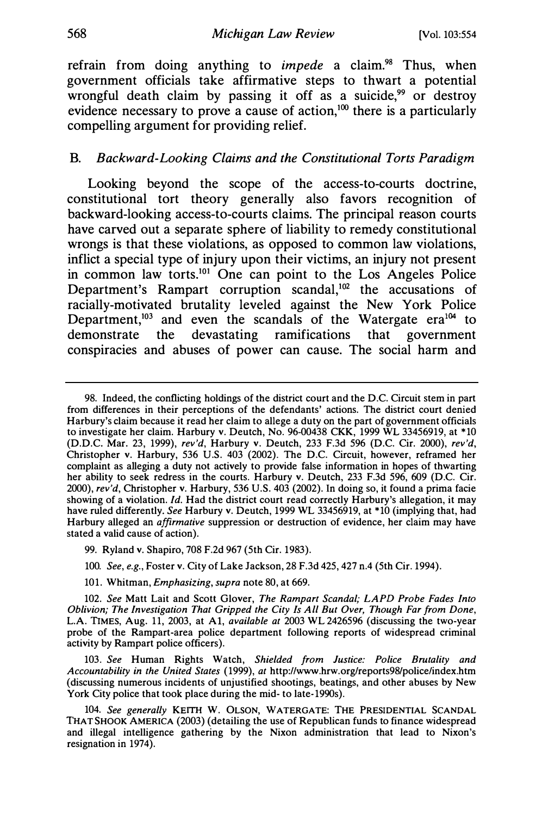refrain from doing anything to *impede* a claim.<sup>98</sup> Thus, when government officials take affirmative steps to thwart a potential wrongful death claim by passing it off as a suicide,<sup>99</sup> or destroy evidence necessary to prove a cause of action, $100$  there is a particularly compelling argument for providing relief.

#### B. Backward-Looking Claims and the Constitutional Torts Paradigm

Looking beyond the scope of the access-to-courts doctrine, constitutional tort theory generally also favors recognition of backward-looking access-to-courts claims. The principal reason courts have carved out a separate sphere of liability to remedy constitutional wrongs is that these violations, as opposed to common law violations, inflict a special type of injury upon their victims, an injury not present in common law torts.101 One can point to the Los Angeles Police Department's Rampart corruption scandal, $102$  the accusations of racially-motivated brutality leveled against the New York Police Department,<sup>103</sup> and even the scandals of the Watergate era<sup>104</sup> to demonstrate the devastating ramifications that government conspiracies and abuses of power can cause. The social harm and

- 100. See, e.g., Foster v. City of Lake Jackson, 28 F.3d 425, 427 n.4 (5th Cir. 1994).
- 101. Whitman, Emphasizing, supra note 80, at 669.

102. See Matt Lait and Scott Glover, The Rampart Scandal; LAPD Probe Fades Into Oblivion; The Investigation That Gripped the City Is All But Over, Though Far from Done, L.A. TIMES, Aug. 11, 2003, at A1, *available at* 2003 WL 2426596 (discussing the two-year probe of the Rampart-area police department following reports of widespread criminal activity by Rampart police officers).

103. See Human Rights Watch, Shielded from Justice: Police Brutality and Accountability in the United States (1999), at http://www.hrw.org/reports98/police/index.htm (discussing numerous incidents of unjustified shootings, beatings, and other abuses by New York City police that took place during the mid- to late-1990s).

104. See generally KEITH W. OLSON, WATERGATE: THE PRESIDENTIAL SCANDAL THAT SHOOK AMERICA (2003) (detailing the use of Republican funds to finance widespread and illegal intelligence gathering by the Nixon administration that lead to Nixon's resignation in 1974).

<sup>98.</sup> Indeed, the conflicting holdings of the district court and the D.C. Circuit stem in part from differences in their perceptions of the defendants' actions. The district court denied Harbury's claim because it read her claim to allege a duty on the part of government officials to investigate her claim. Harbury v. Deutch, No. 96-00438 CKK, 1999 WL 33456919, at \*10 (D.D.C. Mar. 23, 1999), rev'd, Harbury v. Deutch, 233 F.3d 596 (D.C. Cir. 2000), rev'd, Christopher v. Harbury, 536 U.S. 403 (2002). The D.C. Circuit, however, reframed her complaint as alleging a duty not actively to provide false information in hopes of thwarting her ability to seek redress in the courts. Harbury v. Deutch, 233 F.3d 596, 609 (D.C. Cir. 2000), rev'd, Christopher v. Harbury, 536 U.S. 403 (2002). In doing so, it found a prima facie showing of a violation. Id. Had the district court read correctly Harbury's allegation, it may have ruled differently. See Harbury v. Deutch, 1999 WL 33456919, at \*10 (implying that, had Harbury alleged an affirmative suppression or destruction of evidence, her claim may have stated a valid cause of action).

<sup>99.</sup> Ryland v. Shapiro, 708 F.2d 967 (5th Cir. 1983).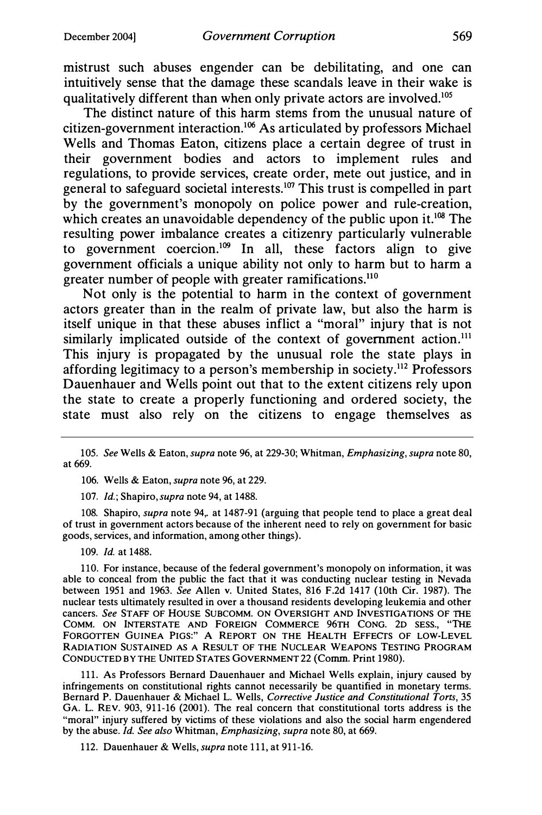mistrust such abuses engender can be debilitating, and one can intuitively sense that the damage these scandals leave in their wake is qualitatively different than when only private actors are involved.<sup>105</sup>

The distinct nature of this harm stems from the unusual nature of citizen-government interaction.106 As articulated by professors Michael Wells and Thomas Eaton, citizens place a certain degree of trust in their government bodies and actors to implement rules and regulations, to provide services, create order, mete out justice, and in general to safeguard societal interests.<sup>107</sup> This trust is compelled in part by the government's monopoly on police power and rule-creation, which creates an unavoidable dependency of the public upon it.<sup>108</sup> The resulting power imbalance creates a citizenry particularly vulnerable to government coercion.<sup>109</sup> In all, these factors align to give government officials a unique ability not only to harm but to harm a greater number of people with greater ramifications.<sup>110</sup>

Not only is the potential to harm in the context of government actors greater than in the realm of private law, but also the harm is itself unique in that these abuses inflict a "moral" injury that is not similarly implicated outside of the context of government action.<sup>111</sup> This injury is propagated by the unusual role the state plays in affording legitimacy to a person's membership in society.112 Professors Dauenhauer and Wells point out that to the extent citizens rely upon the state to create a properly functioning and ordered society, the state must also rely on the citizens to engage themselves as

106. Wells & Eaton, supra note 96, at 229.

107. *Id.*; Shapiro, *supra* note 94, at 1488.

108. Shapiro, *supra* note 94, at 1487-91 (arguing that people tend to place a great deal of trust in government actors because of the inherent need to rely on government for basic goods, services, and information, among other things).

109. Id. at 1488.

110. For instance, because of the federal government's monopoly on information, it was able to conceal from the public the fact that it was conducting nuclear testing in Nevada between 1951 and 1963. See Allen v. United States, 816 F.2d 1417 (10th Cir. 1987). The nuclear tests ultimately resulted in over a thousand residents developing leukemia and other cancers. See STAFF OF HOUSE SUBCOMM. ON OVERSIGHT AND INVESTIGATIONS OF THE COMM. ON INTERSTATE AND FOREIGN COMMERCE 96TH CONG. 2D SESS., "THE FORGOTTEN GUINEA PIGS:" A REPORT ON THE HEALTH EFFECTS OF LOW-LEVEL RADIATION SUSTAINED AS A RESULT OF THE NUCLEAR WEAPONS TESTING PROGRAM CONDUCTED BY THE UNITED STATES GOVERNMENT22 (Comm. Print 1980).

111. As Professors Bernard Dauenhauer and Michael Wells explain, injury caused by infringements on constitutional rights cannot necessarily be quantified in monetary terms. Bernard P. Dauenhauer & Michael L. Wells, Corrective Justice and Constitutional Torts, 35 GA. L. REV. 903, 911-16 (2001). The real concern that constitutional torts address is the "moral" injury suffered by victims of these violations and also the social harm engendered by the abuse. Id. See also Whitman, Emphasizing, supra note 80, at 669.

112. Dauenhauer & Wells, supra note 111, at 911-16.

<sup>105.</sup> See Wells & Eaton, supra note 96, at 229-30; Whitman, Emphasizing, supra note 80, at 669.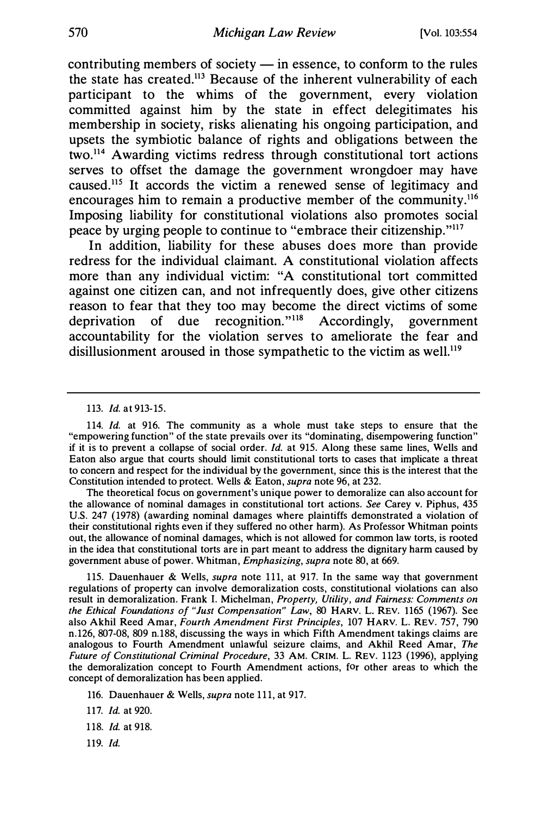contributing members of society  $-$  in essence, to conform to the rules the state has created.113 Because of the inherent vulnerability of each participant to the whims of the government, every violation committed against him by the state in effect delegitimates his membership in society, risks alienating his ongoing participation, and upsets the symbiotic balance of rights and obligations between the two.114 Awarding victims redress through constitutional tort actions serves to offset the damage the government wrongdoer may have caused.115 It accords the victim a renewed sense of legitimacy and encourages him to remain a productive member of the community.116 Imposing liability for constitutional violations also promotes social peace by urging people to continue to "embrace their citizenship."117

In addition, liability for these abuses does more than provide redress for the individual claimant. A constitutional violation affects more than any individual victim: "A constitutional tort committed against one citizen can, and not infrequently does, give other citizens reason to fear that they too may become the direct victims of some deprivation of due recognition."118 Accordingly, government accountability for the violation serves to ameliorate the fear and disillusionment aroused in those sympathetic to the victim as well.<sup>119</sup>

The theoretical focus on government's unique power to demoralize can also account for the allowance of nominal damages in constitutional tort actions. See Carey v. Piphus, 435 U.S. 247 (1978) (awarding nominal damages where plaintiffs demonstrated a violation of their constitutional rights even if they suffered no other harm). As Professor Whitman points out, the allowance of nominal damages, which is not allowed for common law torts, is rooted in the idea that constitutional torts are in part meant to address the dignitary harm caused by government abuse of power. Whitman, Emphasizing, supra note 80, at 669.

115. Dauenhauer & Wells, supra note 111, at 917. In the same way that government regulations of property can involve demoralization costs, constitutional violations can also result in demoralization. Frank I. Michelman, Property, Utility, and Fairness: Comments on the Ethical Foundations of "Just Compensation" Law, 80 HARV. L. REV. 1165 (1967). See also Akhil Reed Amar, Fourth Amendment First Principles, 107 HARV. L. REV. 757, 790 n.126, 807-08, 809 n.188, discussing the ways in which Fifth Amendment takings claims are analogous to Fourth Amendment unlawful seizure claims, and Akhil Reed Amar, The Future of Constitutional Criminal Procedure, 33 AM. CRIM. L. REV. 1123 (1996), applying the demoralization concept to Fourth Amendment actions, for other areas to which the concept of demoralization has been applied.

116. Dauenhauer & Wells, supra note 111, at 917.

- 117. Id. at 920.
- 118. Id. at 918.
- 119. Id.

<sup>113.</sup> Id. at 913-15.

<sup>114.</sup> Id. at 916. The community as a whole must take steps to ensure that the "empowering function" of the state prevails over its "dominating, disempowering function" if it is to prevent a collapse of social order. Id. at 915. Along these same lines, Wells and Eaton also argue that courts should limit constitutional torts to cases that implicate a threat to concern and respect for the individual by the government, since this is the interest that the Constitution intended to protect. Wells & Eaton, supra note 96, at 232.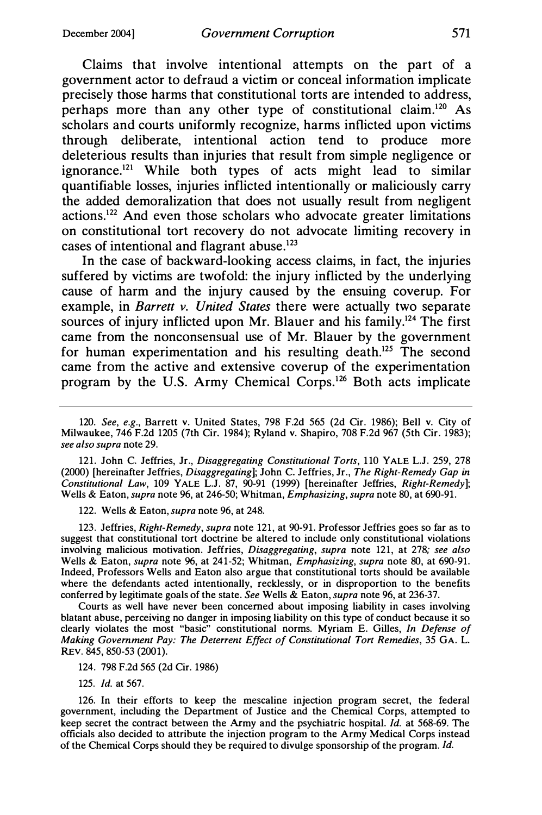Claims that involve intentional attempts on the part of a government actor to defraud a victim or conceal information implicate precisely those harms that constitutional torts are intended to address, perhaps more than any other type of constitutional claim.120 As scholars and courts uniformly recognize, harms inflicted upon victims through deliberate, intentional action tend to produce more deleterious results than injuries that result from simple negligence or ignorance.121 While both types of acts might lead to similar quantifiable losses, injuries inflicted intentionally or maliciously carry the added demoralization that does not usually result from negligent actions.122 And even those scholars who advocate greater limitations on constitutional tort recovery do not advocate limiting recovery in cases of intentional and flagrant abuse.<sup>123</sup>

In the case of backward-looking access claims, in fact, the injuries suffered by victims are twofold: the injury inflicted by the underlying cause of harm and the injury caused by the ensuing coverup. For example, in Barrett v. United States there were actually two separate sources of injury inflicted upon Mr. Blauer and his family.<sup>124</sup> The first came from the nonconsensual use of Mr. Blauer by the government for human experimentation and his resulting death.<sup>125</sup> The second came from the active and extensive coverup of the experimentation program by the U.S. Army Chemical Corps.126 Both acts implicate

120. See, e.g., Barrett v. United States, 798 F.2d 565 (2d Cir. 1986); Bell v. City of Milwaukee, 746 F.2d 1205 (7th Cir. 1984); Ryland v. Shapiro, 708 F.2d 967 (5th Cir. 1983); see also supra note 29.

121. John C. Jeffries, Jr., Disaggregating Constitutional Torts, 110 YALE L.J. 259, 278 (2000) [hereinafter Jeffries, Disaggregating]; John C. Jeffries, Jr., The Right-Remedy Gap in Constitutional Law, 109 YALE L.J. 87, 90-91 (1999) [hereinafter Jeffries, Right-Remedy]; Wells & Eaton, *supra* note 96, at 246-50; Whitman, *Emphasizing, supra* note 80, at 690-91.

122. Wells & Eaton, supra note 96, at 248.

123. Jeffries, Right-Remedy, supra note 121, at 90-91. Professor Jeffries goes so far as to suggest that constitutional tort doctrine be altered to include only constitutional violations involving malicious motivation. Jeffries, Disaggregating, supra note 121, at 278; see also Wells & Eaton, *supra* note 96, at 241-52; Whitman, *Emphasizing, supra* note 80, at 690-91. Indeed, Professors Wells and Eaton also argue that constitutional torts should be available where the defendants acted intentionally, recklessly, or in disproportion to the benefits conferred by legitimate goals of the state. See Wells & Eaton, supra note 96, at 236-37.

Courts as well have never been concerned about imposing liability in cases involving blatant abuse, perceiving no danger in imposing liability on this type of conduct because it so clearly violates the most "basic" constitutional norms. Myriam E. Gilles, In Defense of Making Government Pay: The Deterrent Effect of Constitutional Tort Remedies, 35 GA. L. REV. 845, 850-53 (2001).

124. 798 F.2d 565 (2d Cir. 1986)

125. Id. at 567.

126. In their efforts to keep the mescaline injection program secret, the federal government, including the Department of Justice and the Chemical Corps, attempted to keep secret the contract between the Army and the psychiatric hospital. Id. at 568-69. The officials also decided to attribute the injection program to the Army Medical Corps instead of the Chemical Corps should they be required to divulge sponsorship of the program. Id.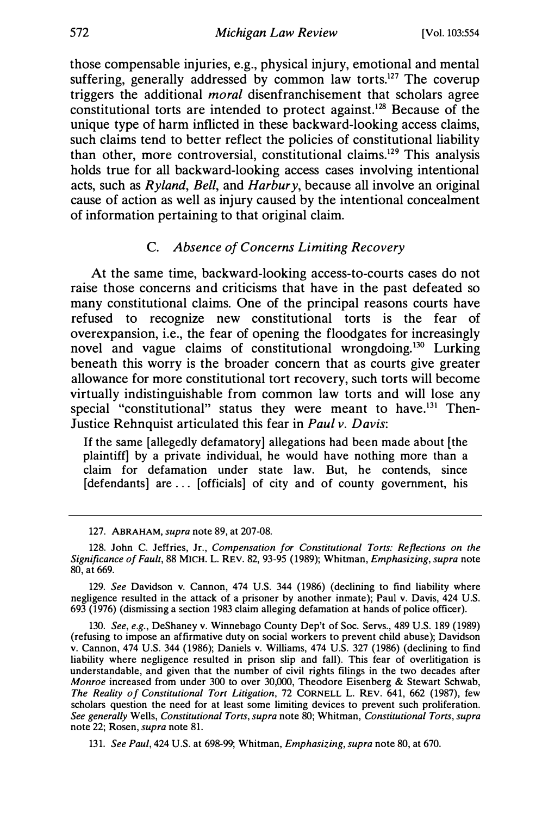those compensable injuries, e.g., physical injury, emotional and mental suffering, generally addressed by common law torts.<sup>127</sup> The coverup triggers the additional *moral* disenfranchisement that scholars agree constitutional torts are intended to protect against.128 Because of the unique type of harm inflicted in these backward-looking access claims, such claims tend to better reflect the policies of constitutional liability than other, more controversial, constitutional claims.129 This analysis holds true for all backward-looking access cases involving intentional acts, such as Ryland, Bell, and Harbury, because all involve an original cause of action as well as injury caused by the intentional concealment of information pertaining to that original claim.

#### C. Absence of Concerns Limiting Recovery

At the same time, backward-looking access-to-courts cases do not raise those concerns and criticisms that have in the past defeated so many constitutional claims. One of the principal reasons courts have refused to recognize new constitutional torts is the fear of overexpansion, i.e., the fear of opening the floodgates for increasingly novel and vague claims of constitutional wrongdoing.<sup>130</sup> Lurking beneath this worry is the broader concern that as courts give greater allowance for more constitutional tort recovery, such torts will become virtually indistinguishable from common law torts and will lose any special "constitutional" status they were meant to have.<sup>131</sup> Then-Justice Rehnquist articulated this fear in Paul v. Davis:

If the same [allegedly defamatory] allegations had been made about [the plaintiff] by a private individual, he would have nothing more than a claim for defamation under state law. But, he contends, since [defendants] are ... [officials] of city and of county government, his

130. See, e.g., DeShaney v. Winnebago County Dep't of Soc. Servs., 489 U.S. 189 (1989) (refusing to impose an affirmative duty on social workers to prevent child abuse); Davidson v. Cannon, 474 U.S. 344 (1986); Daniels v. Williams, 474 U.S. 327 (1986) (declining to find liability where negligence resulted in prison slip and fall). This fear of overlitigation is understandable, and given that the number of civil rights filings in the two decades after Monroe increased from under 300 to over 30,000, Theodore Eisenberg & Stewart Schwab, The Reality of Constitutional Tort Litigation, 72 CORNELL L. REV. 641, 662 (1987), few scholars question the need for at least some limiting devices to prevent such proliferation. See generally Wells, Constitutional Torts, supra note 80; Whitman, Constitutional Torts, supra note 22; Rosen, supra note 81.

131. See Paul, 424 U.S. at 698-99; Whitman, Emphasizing, supra note 80, at 670.

<sup>127.</sup> ABRAHAM, supra note 89, at 207-08.

<sup>128.</sup> John C. Jeffries, Jr., Compensation for Constitutional Torts: Reflections on the Significance of Fault, 88 MICH. L. REV. 82, 93-95 (1989); Whitman, Emphasizing, supra note 80, at 669.

<sup>129.</sup> See Davidson v. Cannon, 474 U.S. 344 (1986) (declining to find liability where negligence resulted in the attack of a prisoner by another inmate); Paul v. Davis, 424 U.S. 693 (1976) (dismissing a section 1983 claim alleging defamation at hands of police officer).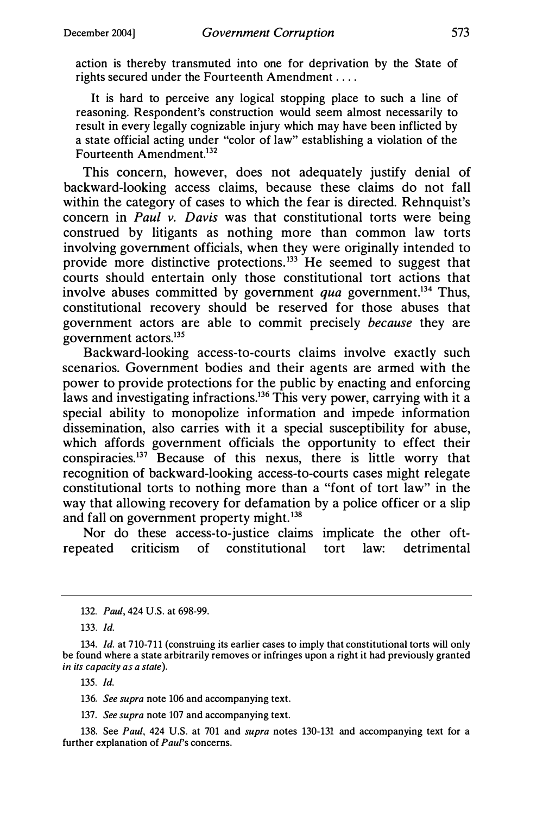action is thereby transmuted into one for deprivation by the State of rights secured under the Fourteenth Amendment ....

It is hard to perceive any logical stopping place to such a line of reasoning. Respondent's construction would seem almost necessarily to result in every legally cognizable injury which may have been inflicted by a state official acting under "color of law" establishing a violation of the Fourteenth Amendment.<sup>132</sup>

This concern, however, does not adequately justify denial of backward-looking access claims, because these claims do not fall within the category of cases to which the fear is directed. Rehnquist's concern in Paul v. Davis was that constitutional torts were being construed by litigants as nothing more than common law torts involving government officials, when they were originally intended to provide more distinctive protections.<sup>133</sup> He seemed to suggest that courts should entertain only those constitutional tort actions that involve abuses committed by government qua government.<sup>134</sup> Thus, constitutional recovery should be reserved for those abuses that government actors are able to commit precisely because they are government actors.135

Backward-looking access-to-courts claims involve exactly such scenarios. Government bodies and their agents are armed with the power to provide protections for the public by enacting and enforcing laws and investigating infractions.<sup>136</sup> This very power, carrying with it a special ability to monopolize information and impede information dissemination, also carries with it a special susceptibility for abuse, which affords government officials the opportunity to effect their conspiracies. 137 Because of this nexus, there is little worry that recognition of backward-looking access-to-courts cases might relegate constitutional torts to nothing more than a "font of tort law" in the way that allowing recovery for defamation by a police officer or a slip and fall on government property might.<sup>138</sup>

Nor do these access-to-justice claims implicate the other oftrepeated criticism of constitutional tort law: detrimental

137. See supra note 107 and accompanying text.

138. See Paul, 424 U.S. at 701 and supra notes 130-131 and accompanying text for a further explanation of Paul's concerns.

<sup>132.</sup> Paul, 424 U.S. at 698-99.

<sup>133.</sup> Id.

<sup>134.</sup> Id. at 710-711 (construing its earlier cases to imply that constitutional torts will only be found where a state arbitrarily removes or infringes upon a right it had previously granted in its capacity as a state).

<sup>135.</sup> Id.

<sup>136.</sup> See supra note 106 and accompanying text.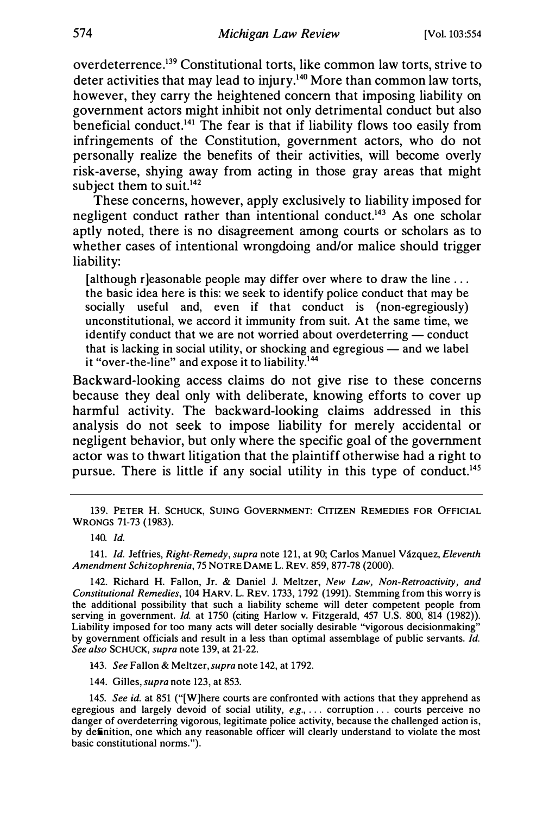overdeterrence.139 Constitutional torts, like common law torts, strive to deter activities that may lead to injury.<sup>140</sup> More than common law torts, however, they carry the heightened concern that imposing liability on government actors might inhibit not only detrimental conduct but also beneficial conduct.<sup>141</sup> The fear is that if liability flows too easily from infringements of the Constitution, government actors, who do not personally realize the benefits of their activities, will become overly risk-averse, shying away from acting in those gray areas that might subject them to suit. $142$ 

These concerns, however, apply exclusively to liability imposed for negligent conduct rather than intentional conduct.<sup>143</sup> As one scholar aptly noted, there is no disagreement among courts or scholars as to whether cases of intentional wrongdoing and/or malice should trigger liability:

[although r]easonable people may differ over where to draw the line  $\dots$ the basic idea here is this: we seek to identify police conduct that may be socially useful and, even if that conduct is (non-egregiously) unconstitutional, we accord it immunity from suit. At the same time, we identify conduct that we are not worried about overdeterring — conduct that is lacking in social utility, or shocking and egregious  $-$  and we label it "over-the-line" and expose it to liability.<sup>144</sup>

Backward-looking access claims do not give rise to these concerns because they deal only with deliberate, knowing efforts to cover up harmful activity. The backward-looking claims addressed in this analysis do not seek to impose liability for merely accidental or negligent behavior, but only where the specific goal of the government actor was to thwart litigation that the plaintiff otherwise had a right to pursue. There is little if any social utility in this type of conduct.<sup>145</sup>

141. Id. Jeffries, Right-Remedy, supra note 121, at 90; Carlos Manuel Vázquez, Eleventh Amendment Schizophrenia, 75 NOTRE DAME L. REV. 859, 877-78 (2000).

142. Richard H. Fallon, Jr. & Daniel J. Meltzer, New Law, Non-Retroactivity, and Constitutional Remedies, 104 HARV. L. REV. 1733, 1792 (1991). Stemming from this worry is the additional possibility that such a liability scheme will deter competent people from serving in government. Id. at 1750 (citing Harlow v. Fitzgerald, 457 U.S. 800, 814 (1982)). Liability imposed for too many acts will deter socially desirable "vigorous decisionmaking" by government officials and result in a less than optimal assemblage of public servants. Id. See also SCHUCK, supra note 139, at 21-22.

143. See Fallon & Meltzer, supra note 142, at 1792.

144. Gilles, supra note 123, at 853.

145. See id. at 851 ("[W]here courts are confronted with actions that they apprehend as egregious and largely devoid of social utility, e.g., ... corruption ... courts perceive no danger of overdeterring vigorous, legitimate police activity, because the challenged action is, by definition, one which any reasonable officer will clearly understand to violate the most basic constitutional norms.").

<sup>139.</sup> PETER H. SCHUCK, SUING GOVERNMENT: CITIZEN REMEDIES FOR OFFICIAL WRONGS 71-73 (1983).

<sup>140.</sup> Id.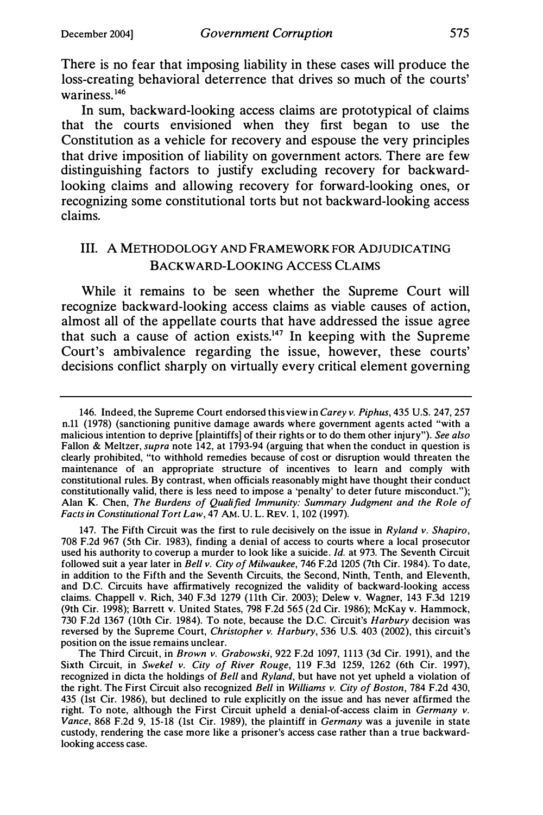There is no fear that imposing liability in these cases will produce the loss-creating behavioral deterrence that drives so much of the courts' wariness.146

In sum, backward-looking access claims are prototypical of claims that the courts envisioned when they first began to use the Constitution as a vehicle for recovery and espouse the very principles that drive imposition of liability on government actors. There are few distinguishing factors to justify excluding recovery for backwardlooking claims and allowing recovery for forward-looking ones, or recognizing some constitutional torts but not backward-looking access claims.

# III. A METHODOLOGY AND FRAMEWORK FOR ADJUDICATING BACKWARD-LOOKING ACCESS CLAIMS

While it remains to be seen whether the Supreme Court will recognize backward-looking access claims as viable causes of action, almost all of the appellate courts that have addressed the issue agree that such a cause of action exists.<sup>147</sup> In keeping with the Supreme Court's ambivalence regarding the issue, however, these courts' decisions conflict sharply on virtually every critical element governing

147. The Fifth Circuit was the first to rule decisively on the issue in  $Ryland$  v. Shapiro, 708 F.2d 967 (5th Cir. 1983), finding a denial of access to courts where a local prosecutor used his authority to coverup a murder to look like a suicide. Id. at 973. The Seventh Circuit followed suit a year later in Bell v. City of Milwaukee, 746 F.2d 1205 (7th Cir. 1984). To date, in addition to the Fifth and the Seventh Circuits, the Second, Ninth, Tenth, and Eleventh, and D.C. Circuits have affirmatively recognized the validity of backward-looking access claims. Chappell v. Rich, 340 F.3d 1279 (11th Cir. 2003); Delew v. Wagner, 143 F.3d 1219 (9th Cir. 1998); Barrett v. United States, 798 F.2d 565 (2d Cir. 1986); McKay v. Hammock, 730 F.2d 1367 (10th Cir. 1984). To note, because the D.C. Circuit's Harbury decision was reversed by the Supreme Court, *Christopher v. Harbury*, 536 U.S. 403 (2002), this circuit's position on the issue remains unclear.

The Third Circuit, in Brown v. Grabowski, 922 F.2d 1097, 1113 (3d Cir. 1991), and the Sixth Circuit, in Swekel v. City of River Rouge, 119 F.3d 1259, 1262 (6th Cir. 1997), recognized in dicta the holdings of Bell and Ryland, but have not yet upheld a violation of the right. The First Circuit also recognized Bell in Williams v. City of Boston, 784 F.2d 430, 435 (1st Cir. 1986), but declined to rule explicitly on the issue and has never affirmed the right. To note, although the First Circuit upheld a denial-of-access claim in *Germany v*. Vance, 868 F.2d 9, 15-18 (1st Cir. 1989), the plaintiff in Germany was a juvenile in state custody, rendering the case more like a prisoner's access case rather than a true backwardlooking access case.

<sup>146.</sup> Indeed, the Supreme Court endorsed this view in Carey v. Piphus, 435 U.S. 247, 257 n.11 (1978) (sanctioning punitive damage awards where government agents acted "with a malicious intention to deprive [plaintiffs] of their rights or to do them other injury"). See also Fallon & Meltzer, supra note 142, at 1793-94 (arguing that when the conduct in question is clearly prohibited, "to withhold remedies because of cost or disruption would threaten the maintenance of an appropriate structure of incentives to learn and comply with constitutional rules. By contrast, when officials reasonably might have thought their conduct constitutionally valid, there is less need to impose a 'penalty' to deter future misconduct."); Alan K. Chen, The Burdens of Qualified Immunity: Summary Judgment and the Role of Facts in Constitutional Tort Law, 47 AM. U. L. REV. 1, 102 (1997).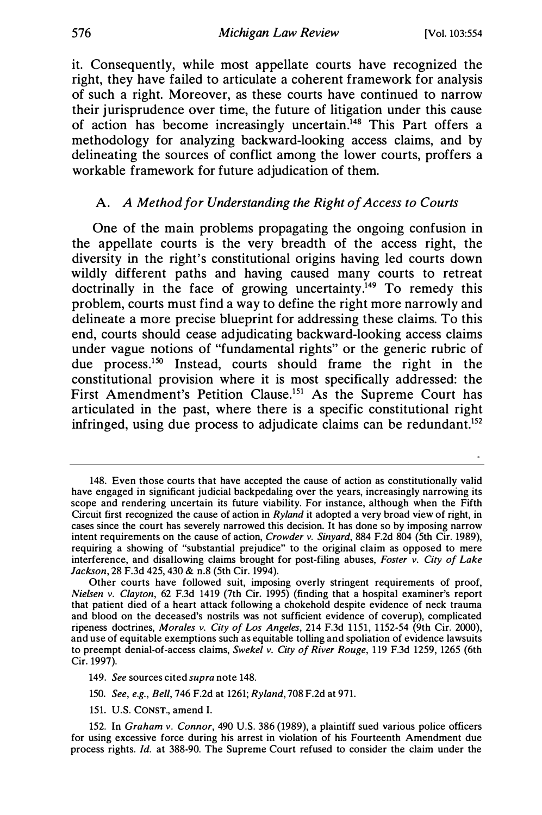it. Consequently, while most appellate courts have recognized the right, they have failed to articulate a coherent framework for analysis of such a right. Moreover, as these courts have continued to narrow their jurisprudence over time, the future of litigation under this cause of action has become increasingly uncertain.<sup>148</sup> This Part offers a methodology for analyzing backward-looking access claims, and by delineating the sources of conflict among the lower courts, proffers a workable framework for future adjudication of them.

#### A. A Method for Understanding the Right of Access to Courts

One of the main problems propagating the ongoing confusion in the appellate courts is the very breadth of the access right, the diversity in the right's constitutional origins having led courts down wildly different paths and having caused many courts to retreat doctrinally in the face of growing uncertainty.<sup>149</sup> To remedy this problem, courts must find a way to define the right more narrowly and delineate a more precise blueprint for addressing these claims. To this end, courts should cease adjudicating backward-looking access claims under vague notions of "fundamental rights" or the generic rubric of due process.150 Instead, courts should frame the right in the constitutional provision where it is most specifically addressed: the First Amendment's Petition Clause.<sup>151</sup> As the Supreme Court has articulated in the past, where there is a specific constitutional right infringed, using due process to adjudicate claims can be redundant.<sup>152</sup>

151. U.S. CONST., amend I.

<sup>148.</sup> Even those courts that have accepted the cause of action as constitutionally valid have engaged in significant judicial backpedaling over the years, increasingly narrowing its scope and rendering uncertain its future viability. For instance, although when the Fifth Circuit first recognized the cause of action in Ryland it adopted a very broad view of right, in cases since the court has severely narrowed this decision. It has done so by imposing narrow intent requirements on the cause of action, *Crowder v. Sinyard*, 884 F.2d 804 (5th Cir. 1989), requiring a showing of "substantial prejudice" to the original claim as opposed to mere interference, and disallowing claims brought for post-filing abuses, Foster v. City of Lake Jackson, 28 F.3d 425, 430 & n.8 (5th Cir. 1994).

Other courts have followed suit, imposing overly stringent requirements of proof, Nielsen v. Clayton, 62 F.3d 1419 (7th Cir. 1995) (finding that a hospital examiner's report that patient died of a heart attack following a chokehold despite evidence of neck trauma and blood on the deceased's nostrils was not sufficient evidence of coverup), complicated ripeness doctrines, Morales v. City of Los Angeles, 214 F.3d 1151, 1152-54 (9th Cir. 2000), and use of equitable exemptions such as equitable tolling and spoliation of evidence lawsuits to preempt denial-of-access claims, Swekel v. City of River Rouge, 119 F.3d 1259, 1265 (6th Cir. 1997).

<sup>149.</sup> See sources cited supra note 148.

<sup>150.</sup> See, e.g., Bell, 746 F.2d at 1261; Ryland, 708 F.2d at 971.

<sup>152.</sup> In Graham v. Connor, 490 U.S. 386 (1989), a plaintiff sued various police officers for using excessive force during his arrest in violation of his Fourteenth Amendment due process rights. Id. at 388-90. The Supreme Court refused to consider the claim under the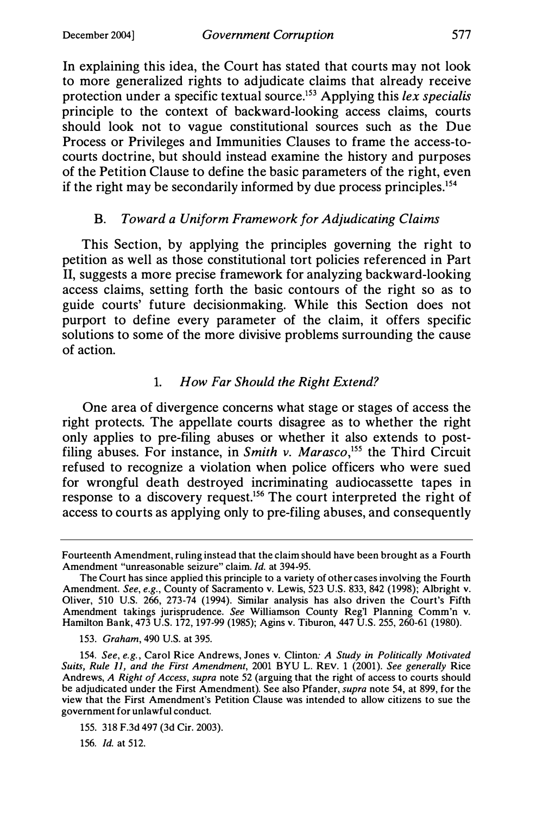In explaining this idea, the Court has stated that courts may not look to more generalized rights to adjudicate claims that already receive protection under a specific textual source.<sup>153</sup> Applying this lex specialis principle to the context of backward-looking access claims, courts should look not to vague constitutional sources such as the Due Process or Privileges and Immunities Clauses to frame the access-tocourts doctrine, but should instead examine the history and purposes of the Petition Clause to define the basic parameters of the right, even if the right may be secondarily informed by due process principles.154

### B. Toward a Uniform Framework for Adjudicating Claims

This Section, by applying the principles governing the right to petition as well as those constitutional tort policies referenced in Part II, suggests a more precise framework for analyzing backward-looking access claims, setting forth the basic contours of the right so as to guide courts' future decisionmaking. While this Section does not purport to define every parameter of the claim, it offers specific solutions to some of the more divisive problems surrounding the cause of action.

# 1. How Far Should the Right Extend?

One area of divergence concerns what stage or stages of access the right protects. The appellate courts disagree as to whether the right only applies to pre-filing abuses or whether it also extends to postfiling abuses. For instance, in Smith v. Marasco,<sup>155</sup> the Third Circuit refused to recognize a violation when police officers who were sued for wrongful death destroyed incriminating audiocassette tapes in response to a discovery request.156 The court interpreted the right of access to courts as applying only to pre-filing abuses, and consequently

153. Graham, 490 U.S. at 395.

154. See, e.g., Carol Rice Andrews, Jones v. Clinton: A Study in Politically Motivated Suits, Rule 11, and the First Amendment, 2001 BYU L. REV. 1 (2001). See generally Rice Andrews, A Right of Access, supra note 52 (arguing that the right of access to courts should be adjudicated under the First Amendment). See also Pfander, supra note 54, at 899, for the view that the First Amendment's Petition Clause was intended to allow citizens to sue the government for unlawful conduct.

156. Id. at 512.

Fourteenth Amendment, ruling instead that the claim should have been brought as a Fourth Amendment "unreasonable seizure" claim. Id. at 394-95.

The Court has since applied this principle to a variety of other cases involving the Fourth Amendment. See, e.g., County of Sacramento v. Lewis, 523 U.S. 833, 842 (1998); Albright v. Oliver, 510 U.S. 266, 273-74 (1994). Similar analysis has also driven the Court's Fifth Amendment takings jurisprudence. See Williamson County Reg'l Planning Comm'n v. Hamilton Bank, 473 U.S. 172, 197-99 (1985); Agins v. Tiburon, 447 U.S. 255, 260-61 (1980).

<sup>155. 318</sup> F.3d 497 (3d Cir. 2003).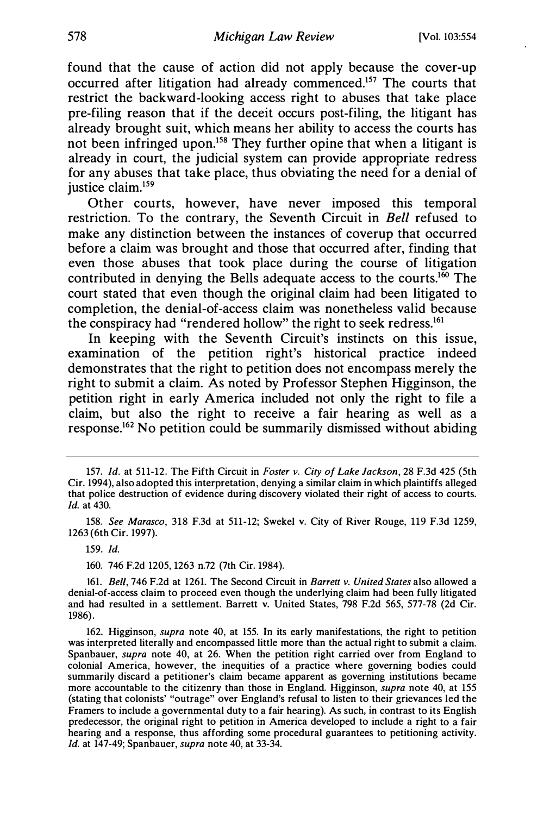found that the cause of action did not apply because the cover-up occurred after litigation had already commenced.157 The courts that restrict the backward-looking access right to abuses that take place pre-filing reason that if the deceit occurs post-filing, the litigant has already brought suit, which means her ability to access the courts has not been infringed upon.<sup>158</sup> They further opine that when a litigant is already in court, the judicial system can provide appropriate redress for any abuses that take place, thus obviating the need for a denial of justice claim.<sup>159</sup>

Other courts, however, have never imposed this temporal restriction. To the contrary, the Seventh Circuit in Bell refused to make any distinction between the instances of coverup that occurred before a claim was brought and those that occurred after, finding that even those abuses that took place during the course of litigation contributed in denying the Bells adequate access to the courts.<sup>160</sup> The court stated that even though the original claim had been litigated to completion, the denial-of-access claim was nonetheless valid because the conspiracy had "rendered hollow" the right to seek redress.161

In keeping with the Seventh Circuit's instincts on this issue, examination of the petition right's historical practice indeed demonstrates that the right to petition does not encompass merely the right to submit a claim. As noted by Professor Stephen Higginson, the petition right in early America included not only the right to file a claim, but also the right to receive a fair hearing as well as a response.162 No petition could be summarily dismissed without abiding

160. 746 F.2d 1205, 1263 n.72 (7th Cir. 1984).

161. Bell, 746 F.2d at 1261. The Second Circuit in Barrett v. United States also allowed a denial-of-access claim to proceed even though the underlying claim had been fully litigated and had resulted in a settlement. Barrett v. United States, 798 F.2d 565, 577-78 (2d Cir. 1986).

162. Higginson, supra note 40, at 155. In its early manifestations, the right to petition was interpreted literally and encompassed little more than the actual right to submit a claim. Spanbauer, supra note 40, at 26. When the petition right carried over from England to colonial America, however, the inequities of a practice where governing bodies could summarily discard a petitioner's claim became apparent as governing institutions became more accountable to the citizenry than those in England. Higginson, *supra* note 40, at 155 (stating that colonists' "outrage" over England's refusal to listen to their grievances led the Framers to include a governmental duty to a fair hearing). As such, in contrast to its English predecessor, the original right to petition in America developed to include a right to a fair hearing and a response, thus affording some procedural guarantees to petitioning activity. Id. at 147-49; Spanbauer, *supra* note 40, at 33-34.

<sup>157.</sup> Id. at 511-12. The Fifth Circuit in Foster v. City of Lake Jackson, 28 F.3d 425 (5th Cir. 1994), also adopted this interpretation, denying a similar claim in which plaintiffs alleged that police destruction of evidence during discovery violated their right of access to courts. Id. at 430.

<sup>158.</sup> See Marasco, 318 F.3d at 511-12; Swekel v. City of River Rouge, 119 F.3d 1259, 1263 (6th Cir. 1997).

<sup>159.</sup> Id.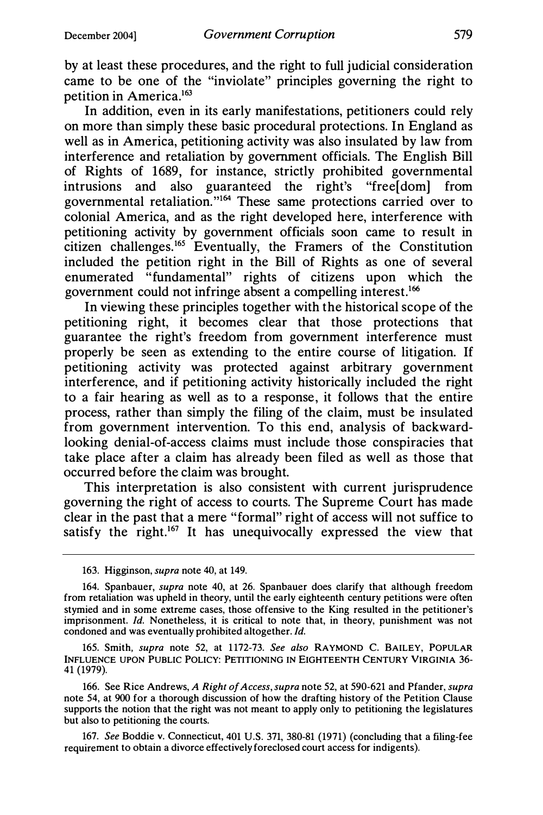by at least these procedures, and the right to full judicial consideration came to be one of the "inviolate" principles governing the right to petition in America.163

In addition, even in its early manifestations, petitioners could rely on more than simply these basic procedural protections. In England as well as in America, petitioning activity was also insulated by law from interference and retaliation by government officials. The English Bill of Rights of 1689, for instance, strictly prohibited governmental intrusions and also guaranteed the right's "free[dom] from governmental retaliation. "164 These same protections carried over to colonial America, and as the right developed here, interference with petitioning activity by government officials soon came to result in citizen challenges.<sup>165</sup> Eventually, the Framers of the Constitution included the petition right in the Bill of Rights as one of several enumerated "fundamental" rights of citizens upon which the government could not infringe absent a compelling interest.166

In viewing these principles together with the historical scope of the petitioning right, it becomes clear that those protections that guarantee the right's freedom from government interference must properly be seen as extending to the entire course of litigation. If petitioning activity was protected against arbitrary government interference, and if petitioning activity historically included the right to a fair hearing as well as to a response, it follows that the entire process, rather than simply the filing of the claim, must be insulated from government intervention. To this end, analysis of backwardlooking denial-of-access claims must include those conspiracies that take place after a claim has already been filed as well as those that occurred before the claim was brought.

This interpretation is also consistent with current jurisprudence governing the right of access to courts. The Supreme Court has made clear in the past that a mere "formal" right of access will not suffice to satisfy the right.<sup>167</sup> It has unequivocally expressed the view that

<sup>163.</sup> Higginson, supra note 40, at 149.

<sup>164.</sup> Spanbauer, supra note 40, at 26. Spanbauer does clarify that although freedom from retaliation was upheld in theory, until the early eighteenth century petitions were often stymied and in some extreme cases, those offensive to the King resulted in the petitioner's imprisonment. Id. Nonetheless, it is critical to note that, in theory, punishment was not condoned and was eventually prohibited altogether. Id.

<sup>165.</sup> Smith, supra note 52, at 1172-73. See also RAYMOND C. BAILEY, POPULAR INFLUENCE UPON PUBLIC POLICY: PETITIONING IN EIGHTEENTH CENTURY VIRGINIA 36- 41 (1979).

<sup>166.</sup> See Rice Andrews, A Right of Access, supra note 52, at 590-621 and Pfander, supra note 54, at 900 for a thorough discussion of how the drafting history of the Petition Clause supports the notion that the right was not meant to apply only to petitioning the legislatures but also to petitioning the courts.

<sup>167.</sup> See Boddie v. Connecticut, 401 U.S. 371, 380-81 (1971) (concluding that a filing-fee requirement to obtain a divorce effectively foreclosed court access for indigents).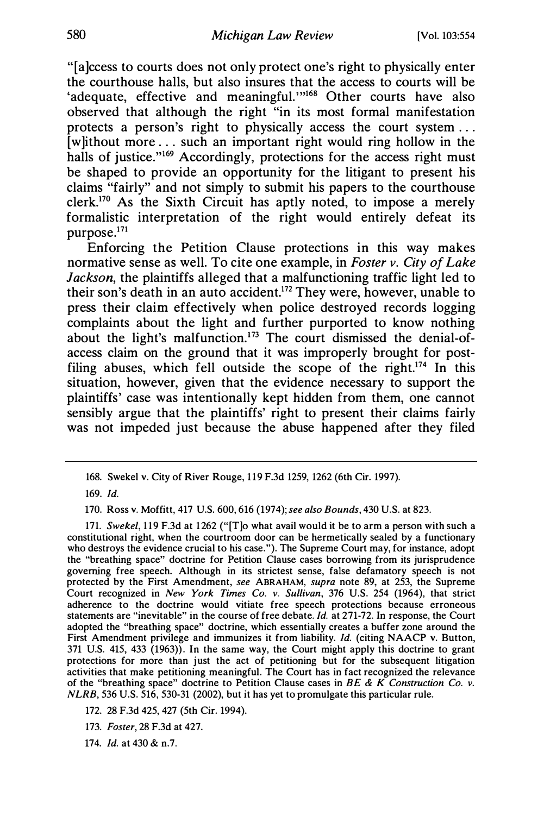"[a]ccess to courts does not only protect one's right to physically enter the courthouse halls, but also insures that the access to courts will be 'adequate, effective and meaningful."<sup>168</sup> Other courts have also observed that although the right "in its most formal manifestation protects a person's right to physically access the court system ... [w]ithout more ... such an important right would ring hollow in the halls of justice."<sup>169</sup> Accordingly, protections for the access right must be shaped to provide an opportunity for the litigant to present his claims "fairly" and not simply to submit his papers to the courthouse clerk.170 As the Sixth Circuit has aptly noted, to impose a merely formalistic interpretation of the right would entirely defeat its purpose.171

Enforcing the Petition Clause protections in this way makes normative sense as well. To cite one example, in Foster v. City of Lake Jackson, the plaintiffs alleged that a malfunctioning traffic light led to their son's death in an auto accident.172 They were, however, unable to press their claim effectively when police destroyed records logging complaints about the light and further purported to know nothing about the light's malfunction.<sup>173</sup> The court dismissed the denial-ofaccess claim on the ground that it was improperly brought for postfiling abuses, which fell outside the scope of the right.<sup>174</sup> In this situation, however, given that the evidence necessary to support the plaintiffs' case was intentionally kept hidden from them, one cannot sensibly argue that the plaintiffs' right to present their claims fairly was not impeded just because the abuse happened after they filed

171. Swekel, 119 F.3d at 1262 ("[T]o what avail would it be to arm a person with such a constitutional right, when the courtroom door can be hermetically sealed by a functionary who destroys the evidence crucial to his case."). The Supreme Court may, for instance, adopt the "breathing space" doctrine for Petition Clause cases borrowing from its jurisprudence governing free speech. Although in its strictest sense, false defamatory speech is not protected by the First Amendment, see ABRAHAM, supra note 89, at 253, the Supreme Court recognized in New York Times Co. v. Sullivan, 376 U.S. 254 (1964), that strict adherence to the doctrine would vitiate free speech protections because erroneous statements are "inevitable" in the course of free debate. Id. at 271-72. In response, the Court adopted the "breathing space" doctrine, which essentially creates a buffer zone around the First Amendment privilege and immunizes it from liability. Id. (citing NAACP v. Button, 371 U.S. 415, 433 (1963)). In the same way, the Court might apply this doctrine to grant protections for more than just the act of petitioning but for the subsequent litigation activities that make petitioning meaningful. The Court has in fact recognized the relevance of the "breathing space" doctrine to Petition Clause cases in BE & K Construction Co. v. NLRB, 536 U.S. 516, 530-31 (2002), but it has yet to promulgate this particular rule.

- 172. 28 F.3d 425, 427 (5th Cir. 1994).
- 173. Foster, 28 F.3d at 427.

174. Id. at 430 & n.7.

<sup>168.</sup> Swekel v. City of River Rouge, 119 F.3d 1259, 1262 (6th Cir. 1997).

<sup>169.</sup> Id.

<sup>170.</sup> Ross v. Moffitt, 417 U.S. 600, 616 (1974); see also Bounds, 430 U.S. at 823.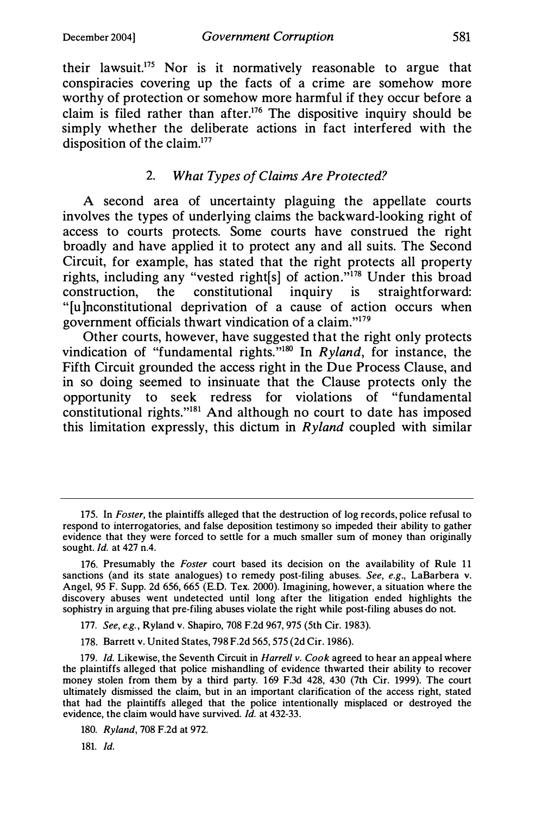their lawsuit.175 Nor is it normatively reasonable to argue that conspiracies covering up the facts of a crime are somehow more worthy of protection or somehow more harmful if they occur before a claim is filed rather than after.176 The dispositive inquiry should be simply whether the deliberate actions in fact interfered with the disposition of the claim.<sup>177</sup>

# 2. What Types of Claims Are Protected?

A second area of uncertainty plaguing the appellate courts involves the types of underlying claims the backward-looking right of access to courts protects. Some courts have construed the right broadly and have applied it to protect any and all suits. The Second Circuit, for example, has stated that the right protects all property rights, including any "vested right[s] of action."178 Under this broad construction, the constitutional inquiry is straightforward: " [u ]nconstitutional deprivation of a cause of action occurs when government officials thwart vindication of a claim."179

Other courts, however, have suggested that the right only protects vindication of "fundamental rights."<sup>180</sup> In Ryland, for instance, the Fifth Circuit grounded the access right in the Due Process Clause, and in so doing seemed to insinuate that the Clause protects only the opportunity to seek redress for violations of "fundamental constitutional rights."181 And although no court to date has imposed this limitation expressly, this dictum in  $R$ *yland* coupled with similar

181. Id.

<sup>175.</sup> In Foster, the plaintiffs alleged that the destruction of log records, police refusal to respond to interrogatories, and false deposition testimony so impeded their ability to gather evidence that they were forced to settle for a much smaller sum of money than originally sought. Id. at 427 n.4.

<sup>176.</sup> Presumably the *Foster* court based its decision on the availability of Rule 11 sanctions (and its state analogues) to remedy post-filing abuses. See, e.g., LaBarbera v. Angel, 95 F. Supp. 2d 656, 665 (E.D. Tex. 2000). Imagining, however, a situation where the discovery abuses went undetected until long after the litigation ended highlights the sophistry in arguing that pre-filing abuses violate the right while post-filing abuses do not.

<sup>177.</sup> See, e.g. , Ryland v. Shapiro, 708 F.2d 967, 975 (5th Cir. 1983).

<sup>178.</sup> Barrett v. United States, 798 F.2d 565, 575 (2d Cir. 1986).

<sup>179.</sup> Id. Likewise, the Seventh Circuit in Harrell v. Cook agreed to hear an appeal where the plaintiffs alleged that police mishandling of evidence thwarted their ability to recover money stolen from them by a third party. 169 F.3d 428, 430 (7th Cir. 1999). The court ultimately dismissed the claim, but in an important clarification of the access right, stated that had the plaintiffs alleged that the police intentionally misplaced or destroyed the evidence, the claim would have survived. Id. at 432-33.

<sup>180.</sup> Ryland, 708 F.2d at 972.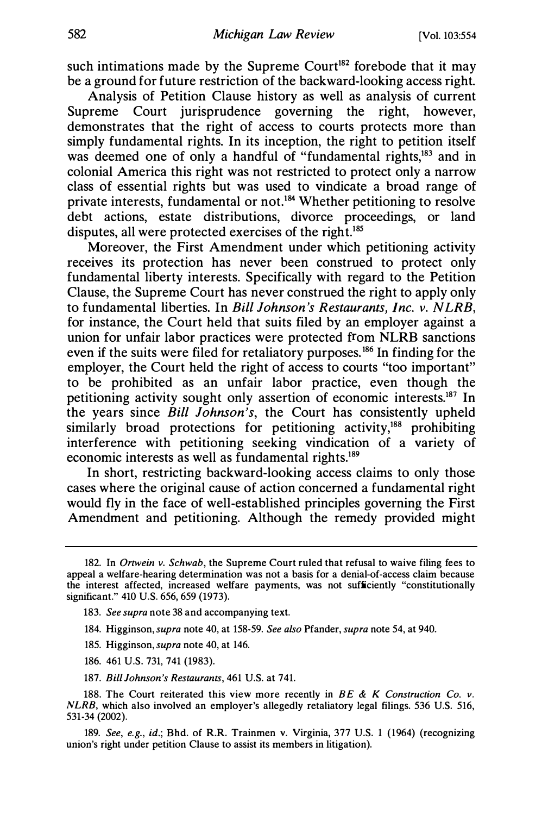such intimations made by the Supreme Court<sup>182</sup> forebode that it may be a ground for future restriction of the backward-looking access right.

Analysis of Petition Clause history as well as analysis of current Supreme Court jurisprudence governing the right, however, demonstrates that the right of access to courts protects more than simply fundamental rights. In its inception, the right to petition itself was deemed one of only a handful of "fundamental rights,<sup>183</sup> and in colonial America this right was not restricted to protect only a narrow class of essential rights but was used to vindicate a broad range of private interests, fundamental or not.184 Whether petitioning to resolve debt actions, estate distributions, divorce proceedings, or land disputes, all were protected exercises of the right.<sup>185</sup>

Moreover, the First Amendment under which petitioning activity receives its protection has never been construed to protect only fundamental liberty interests. Specifically with regard to the Petition Clause, the Supreme Court has never construed the right to apply only to fundamental liberties. In Bill Johnson's Restaurants, Inc. v. NLRB, for instance, the Court held that suits filed by an employer against a union for unfair labor practices were protected from NLRB sanctions even if the suits were filed for retaliatory purposes.<sup>186</sup> In finding for the employer, the Court held the right of access to courts "too important" to be prohibited as an unfair labor practice, even though the petitioning activity sought only assertion of economic interests.187 In the years since *Bill Johnson's*, the Court has consistently upheld similarly broad protections for petitioning activity,<sup>188</sup> prohibiting interference with petitioning seeking vindication of a variety of economic interests as well as fundamental rights.189

In short, restricting backward-looking access claims to only those cases where the original cause of action concerned a fundamental right would fly in the face of well-established principles governing the First Amendment and petitioning. Although the remedy provided might

- 184. Higginson, supra note 40, at 158-59. See also Pfander, supra note 54, at 940.
- 185. Higginson, supra note 40, at 146.
- 186. 461 U.S. 731, 741 (1983).
- 187. Bill Johnson's Restaurants, 461 U.S. at 741.

<sup>182.</sup> In Ortwein v. Schwab, the Supreme Court ruled that refusal to waive filing fees to appeal a welfare-hearing determination was not a basis for a denial-of-access claim because the interest affected, increased welfare payments, was not sufficiently "constitutionally significant." 410 U.S. 656, 659 (1973).

<sup>183.</sup> See supra note 38 and accompanying text.

<sup>188.</sup> The Court reiterated this view more recently in  $BE \& K$  Construction Co. v. NLRB, which also involved an employer's allegedly retaliatory legal filings. 536 U.S. 516, 531-34 (2002).

<sup>189.</sup> See, e.g., id.; Bhd. of R.R. Trainmen v. Virginia, 377 U.S. 1 (1964) (recognizing union's right under petition Clause to assist its members in litigation).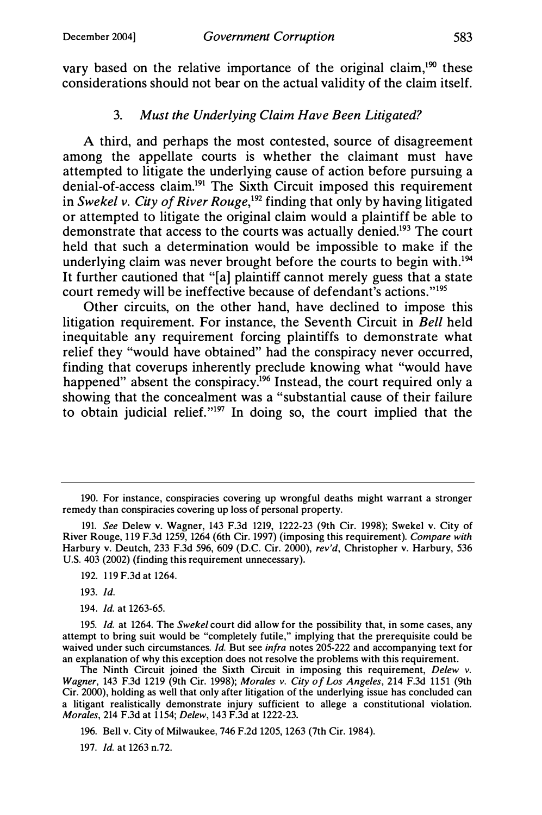vary based on the relative importance of the original claim, $190$  these considerations should not bear on the actual validity of the claim itself.

# 3. Must the Underlying Claim Have Been Litigated?

A third, and perhaps the most contested, source of disagreement among the appellate courts is whether the claimant must have attempted to litigate the underlying cause of action before pursuing a denial-of-access claim.191 The Sixth Circuit imposed this requirement in Swekel v. City of River Rouge,<sup>192</sup> finding that only by having litigated or attempted to litigate the original claim would a plaintiff be able to demonstrate that access to the courts was actually denied.193 The court held that such a determination would be impossible to make if the underlying claim was never brought before the courts to begin with.<sup>194</sup> It further cautioned that "[a] plaintiff cannot merely guess that a state court remedy will be ineffective because of defendant's actions."195

Other circuits, on the other hand, have declined to impose this litigation requirement. For instance, the Seventh Circuit in Bell held inequitable any requirement forcing plaintiffs to demonstrate what relief they "would have obtained" had the conspiracy never occurred, finding that coverups inherently preclude knowing what "would have happened" absent the conspiracy.<sup>196</sup> Instead, the court required only a showing that the concealment was a "substantial cause of their failure to obtain judicial relief."197 In doing so, the court implied that the

193. Id.

194. Id. at 1263-65.

<sup>190.</sup> For instance, conspiracies covering up wrongful deaths might warrant a stronger remedy than conspiracies covering up loss of personal property.

<sup>191.</sup> See Delew v. Wagner, 143 F.3d 1219, 1222-23 (9th Cir. 1998); Swekel v. City of River Rouge, 1 19 F.3d 1259, 1264 (6th Cir. 1997) (imposing this requirement). Compare with Harbury v. Deutch, 233 F.3d 596, 609 (D.C. Cir. 2000), rev'd, Christopher v. Harbury, 536 U.S. 403 (2002) (finding this requirement unnecessary).

<sup>192. 1 19</sup> F.3d at 1264.

<sup>195.</sup> Id. at 1264. The Swekel court did allow for the possibility that, in some cases, any attempt to bring suit would be "completely futile," implying that the prerequisite could be waived under such circumstances. Id. But see infra notes 205-222 and accompanying text for an explanation of why this exception does not resolve the problems with this requirement.

The Ninth Circuit joined the Sixth Circuit in imposing this requirement, Delew v. Wagner, 143 F.3d 1219 (9th Cir. 1998); Morales v. City of Los Angeles, 214 F.3d 1151 (9th Cir. 2000), holding as well that only after litigation of the underlying issue has concluded can a litigant realistically demonstrate injury sufficient to allege a constitutional violation. Morales, 214 F.3d at 1 154; Delew, 143 F.3d at 1222-23.

<sup>196.</sup> Bell v. City of Milwaukee, 746 F.2d 1205, 1263 (7th Cir. 1984).

<sup>197.</sup> Id. at 1263 n.72.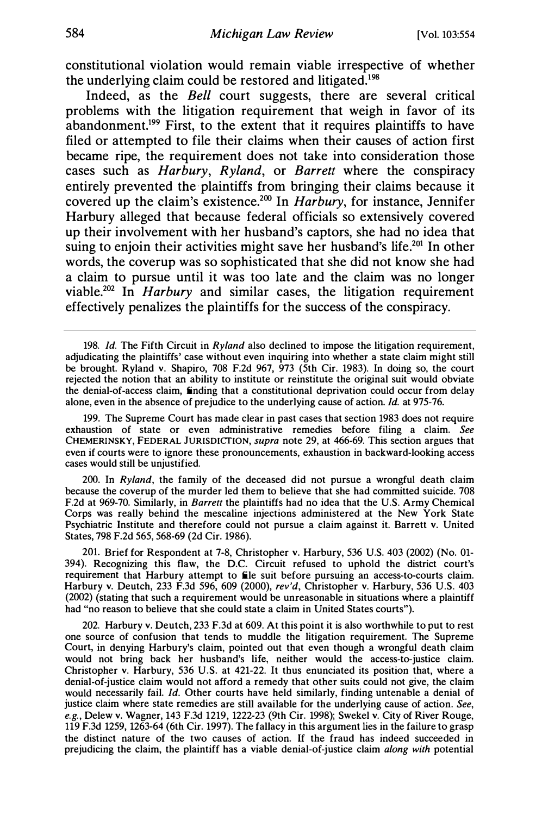constitutional violation would remain viable irrespective of whether the underlying claim could be restored and litigated.<sup>198</sup>

Indeed, as the Bell court suggests, there are several critical problems with the litigation requirement that weigh in favor of its abandonment.<sup>199</sup> First, to the extent that it requires plaintiffs to have filed or attempted to file their claims when their causes of action first became ripe, the requirement does not take into consideration those cases such as Harbury, Ryland, or Barrett where the conspiracy entirely prevented the plaintiffs from bringing their claims because it covered up the claim's existence.<sup>200</sup> In *Harbury*, for instance, Jennifer Harbury alleged that because federal officials so extensively covered up their involvement with her husband's captors, she had no idea that suing to enjoin their activities might save her husband's life.<sup>201</sup> In other words, the coverup was so sophisticated that she did not know she had a claim to pursue until it was too late and the claim was no longer viable.<sup>202</sup> In *Harbury* and similar cases, the litigation requirement effectively penalizes the plaintiffs for the success of the conspiracy.

199. The Supreme Court has made clear in past cases that section 1983 does not require exhaustion of state or even administrative remedies before filing a claim. See CHEMERINSKY, FEDERAL JURISDICTION, supra note 29, at 466-69. This section argues that even if courts were to ignore these pronouncements, exhaustion in backward-looking access cases would still be unjustified.

200. In Ryland, the family of the deceased did not pursue a wrongful death claim because the coverup of the murder led them to believe that she had committed suicide. 708 F.2d at 969-70. Similarly, in Barrett the plaintiffs had no idea that the U.S. Army Chemical Corps was really behind the mescaline injections administered at the New York State Psychiatric Institute and therefore could not pursue a claim against it. Barrett v. United States, 798 F.2d 565, 568-69 (2d Cir. 1986).

201. Brief for Respondent at 7-8, Christopher v. Harbury, 536 U.S. 403 (2002) (No. 01- 394). Recognizing this flaw, the D.C. Circuit refused to uphold the district court's requirement that Harbury attempt to file suit before pursuing an access-to-courts claim. Harbury v. Deutch, 233 F.3d 596, 609 (2000), rev'd, Christopher v. Harbury, 536 U.S. 403 (2002) (stating that such a requirement would be unreasonable in situations where a plaintiff had "no reason to believe that she could state a claim in United States courts").

202. Harbury v. Deutch, 233 F.3d at 609. At this point it is also worthwhile to put to rest one source of confusion that tends to muddle the litigation requirement. The Supreme Court, in denying Harbury's claim, pointed out that even though a wrongful death claim would not bring back her husband's life, neither would the access-to-justice claim. Christopher v. Harbury, 536 U.S. at 421-22. It thus enunciated its position that, where a denial-of-justice claim would not afford a remedy that other suits could not give, the claim would necessarily fail. *Id.* Other courts have held similarly, finding untenable a denial of justice claim where state remedies are still available for the underlying cause of action. See, e.g., Delew v. Wagner, 143 F.3d 1219, 1222-23 (9th Cir. 1998); Swekel v. City of River Rouge, 119 F.3d 1259, 1263-64 (6th Cir. 1997). The fallacy in this argument lies in the failure to grasp the distinct nature of the two causes of action. If the fraud has indeed succeeded in prejudicing the claim, the plaintiff has a viable denial-of-justice claim along with potential

<sup>198.</sup> Id. The Fifth Circuit in Ryland also declined to impose the litigation requirement, adjudicating the plaintiffs' case without even inquiring into whether a state claim might still be brought. Ryland v. Shapiro, 708 F.2d 967, 973 (5th Cir. 1983). In doing so, the court rejected the notion that an ability to institute or reinstitute the original suit would obviate the denial-of-access claim, finding that a constitutional deprivation could occur from delay alone, even in the absence of prejudice to the underlying cause of action. Id. at 975-76.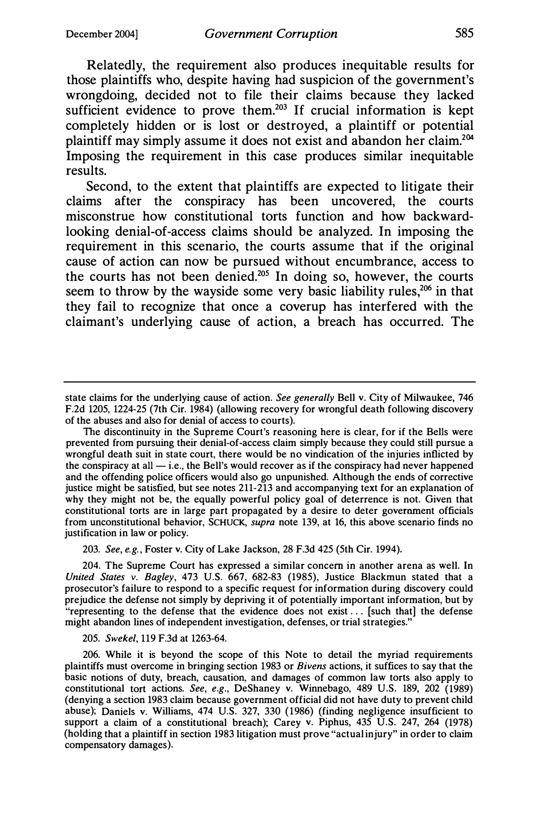Relatedly, the requirement also produces inequitable results for those plaintiffs who, despite having had suspicion of the government's wrongdoing, decided not to file their claims because they lacked sufficient evidence to prove them.<sup>203</sup> If crucial information is kept completely hidden or is lost or destroyed, a plaintiff or potential plaintiff may simply assume it does not exist and abandon her claim.204 Imposing the requirement in this case produces similar inequitable results.

Second, to the extent that plaintiffs are expected to litigate their claims after the conspiracy has been uncovered, the courts misconstrue how constitutional torts function and how backwardlooking denial-of-access claims should be analyzed. In imposing the requirement in this scenario, the courts assume that if the original cause of action can now be pursued without encumbrance, access to the courts has not been denied. $205$  In doing so, however, the courts seem to throw by the wayside some very basic liability rules,<sup>206</sup> in that they fail to recognize that once a coverup has interfered with the claimant's underlying cause of action, a breach has occurred. The

The discontinuity in the Supreme Court's reasoning here is clear, for if the Bells were prevented from pursuing their denial-of-access claim simply because they could still pursue a wrongful death suit in state court, there would be no vindication of the injuries inflicted by the conspiracy at all  $-$  i.e., the Bell's would recover as if the conspiracy had never happened and the offending police officers would also go unpunished. Although the ends of corrective justice might be satisfied, but see notes 211-213 and accompanying text for an explanation of why they might not be, the equally powerful policy goal of deterrence is not. Given that constitutional torts are in large part propagated by a desire to deter government officials from unconstitutional behavior, SCHUCK, supra note 139, at 16, this above scenario finds no justification in law or policy.

203. See, e.g., Foster v. City of Lake Jackson, 28 F.3d 425 (5th Cir. 1994).

204. The Supreme Court has expressed a similar concern in another arena as well. In United States v. Bagley, 473 U.S. 667, 682-83 (1985), Justice Blackmun stated that a prosecutor's failure to respond to a specific request for information during discovery could prejudice the defense not simply by depriving it of potentially important information, but by "representing to the defense that the evidence does not exist ... [such that] the defense might abandon lines of independent investigation, defenses, or trial strategies."

#### 205. Swekel, 119 F.3d at 1263-64.

state claims for the underlying cause of action. See generally Bell v. City of Milwaukee, 746 F.2d 1205, 1224-25 (7th Cir. 1984) (allowing recovery for wrongful death following discovery of the abuses and also for denial of access to courts).

<sup>206.</sup> While it is beyond the scope of this Note to detail the myriad requirements plaintiffs must overcome in bringing section 1983 or Bivens actions, it suffices to say that the basic notions of duty, breach, causation, and damages of common law torts also apply to constitutional tort actions. See, e.g., DeShaney v. Winnebago, 489 U.S. 189, 202 (1989) (denying a section 1983 claim because government official did not have duty to prevent child abuse); Daniels v. Williams, 474 U.S. 327, 330 (1986) (finding negligence insufficient to support a claim of a constitutional breach); Carey v. Piphus, 435 U.S. 247, 264 (1978) (holding that a plaintiff in section 1983 litigation must prove "actual injury" in order to claim compensatory damages).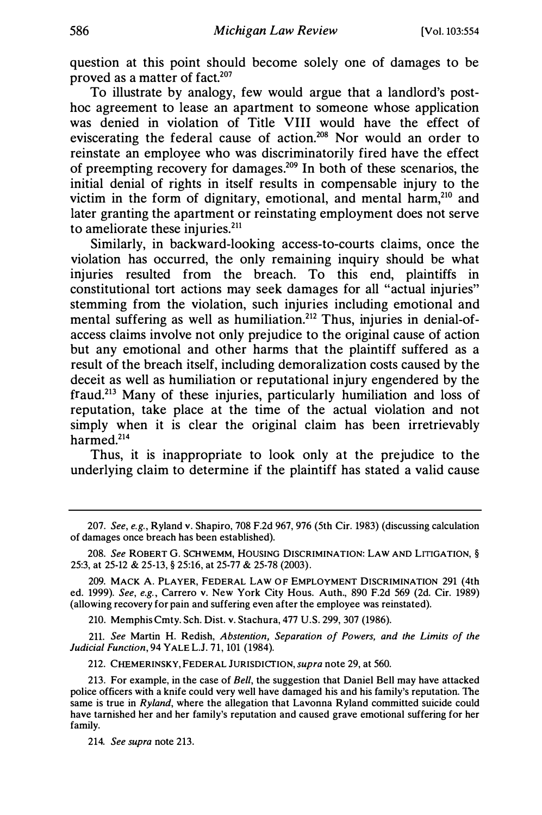question at this point should become solely one of damages to be proved as a matter of fact. $207$ 

To illustrate by analogy, few would argue that a landlord's posthoc agreement to lease an apartment to someone whose application was denied in violation of Title VIII would have the effect of eviscerating the federal cause of action.208 Nor would an order to reinstate an employee who was discriminatorily fired have the effect of preempting recovery for damages.209 In both of these scenarios, the initial denial of rights in itself results in compensable injury to the victim in the form of dignitary, emotional, and mental harm,<sup>210</sup> and later granting the apartment or reinstating employment does not serve to ameliorate these injuries.<sup>211</sup>

Similarly, in backward-looking access-to-courts claims, once the violation has occurred, the only remaining inquiry should be what injuries resulted from the breach. To this end, plaintiffs in constitutional tort actions may seek damages for all "actual injuries" stemming from the violation, such injuries including emotional and mental suffering as well as humiliation.<sup>212</sup> Thus, injuries in denial-ofaccess claims involve not only prejudice to the original cause of action but any emotional and other harms that the plaintiff suffered as a result of the breach itself, including demoralization costs caused by the deceit as well as humiliation or reputational injury engendered by the fraud.213 Many of these injuries, particularly humiliation and loss of reputation, take place at the time of the actual violation and not simply when it is clear the original claim has been irretrievably harmed.<sup>214</sup>

Thus, it is inappropriate to look only at the prejudice to the underlying claim to determine if the plaintiff has stated a valid cause

210. Memphis Cmty. Sch. Dist. v. Stachura, 477 U.S. 299, 307 (1986).

211. See Martin H. Redish, Abstention, Separation of Powers, and the Limits of the Judicial Function, 94 YALE L.J. 71, 101 (1984).

212. CHEMERINSKY, FEDERAL JURISDICTION, supra note 29, at 560.

214. See supra note 213.

<sup>207.</sup> See, e.g., Ryland v. Shapiro, 708 F.2d 967, 976 (5th Cir. 1983) (discussing calculation of damages once breach has been established).

<sup>208.</sup> See ROBERT G. SCHWEMM, HOUSING DISCRIMINATION: LAW AND LITIGATION, § 25:3, at 25-12 & 25-13, § 25:16, at 25-77 & 25-78 (2003).

<sup>209.</sup> MACK A. PLAYER, FEDERAL LAW OF EMPLOYMENT DISCRIMINATION 291 (4th ed. 1999). See, e.g., Carrero v. New York City Hous. Auth., 890 F.2d 569 (2d. Cir. 1989) (allowing recovery for pain and suffering even after the employee was reinstated).

<sup>213.</sup> For example, in the case of Bell, the suggestion that Daniel Bell may have attacked police officers with a knife could very well have damaged his and his family's reputation. The same is true in Ryland, where the allegation that Lavonna Ryland committed suicide could have tarnished her and her family's reputation and caused grave emotional suffering for her family.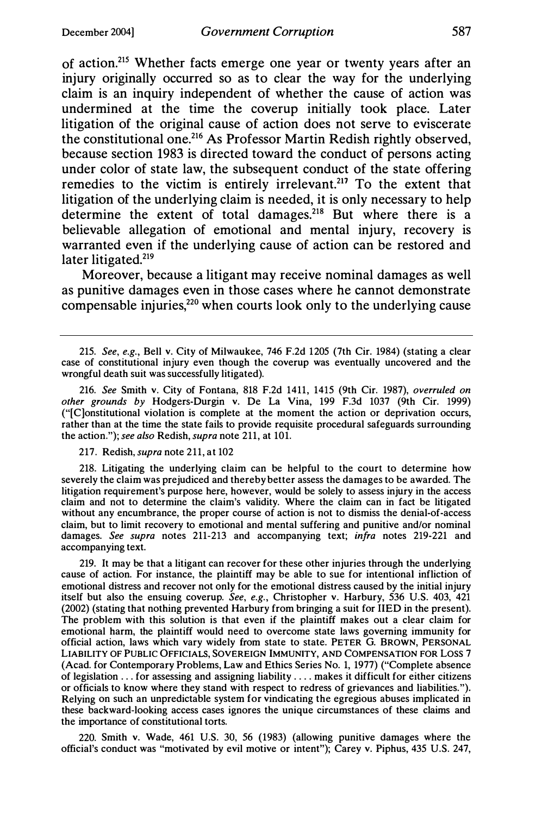of action.215 Whether facts emerge one year or twenty years after an injury originally occurred so as to clear the way for the underlying claim is an inquiry independent of whether the cause of action was undermined at the time the coverup initially took place. Later litigation of the original cause of action does not serve to eviscerate the constitutional one.216 As Professor Martin Redish rightly observed, because section 1983 is directed toward the conduct of persons acting under color of state law, the subsequent conduct of the state offering remedies to the victim is entirely irrelevant.<sup>217</sup> To the extent that litigation of the underlying claim is needed, it is only necessary to help determine the extent of total damages.<sup>218</sup> But where there is a believable allegation of emotional and mental injury, recovery is warranted even if the underlying cause of action can be restored and later litigated.<sup>219</sup>

Moreover, because a litigant may receive nominal damages as well as punitive damages even in those cases where he cannot demonstrate compensable injuries, $220$  when courts look only to the underlying cause

216. See Smith v. City of Fontana, 818 F.2d 1411, 1415 (9th Cir. 1987), overruled on other grounds by Hodgers-Durgin v. De La Vina, 199 F.3d 1037 (9th Cir. 1999) ("[C]onstitutional violation is complete at the moment the action or deprivation occurs, rather than at the time the state fails to provide requisite procedural safeguards surrounding the action."); see also Redish, supra note 211, at 101.

#### 217. Redish, supra note 211, at 102

218. Litigating the underlying claim can be helpful to the court to determine how severely the claim was prejudiced and thereby better assess the damages to be awarded. The litigation requirement's purpose here, however, would be solely to assess injury in the access claim and not to determine the claim's validity. Where the claim can in fact be litigated without any encumbrance, the proper course of action is not to dismiss the denial-of-access claim, but to limit recovery to emotional and mental suffering and punitive and/or nominal damages. See supra notes 211-213 and accompanying text; infra notes 219-221 and accompanying text.

219. It may be that a litigant can recover for these other injuries through the underlying cause of action. For instance, the plaintiff may be able to sue for intentional infliction of emotional distress and recover not only for the emotional distress caused by the initial injury itself but also the ensuing coverup. See, e.g., Christopher v. Harbury, 536 U.S. 403, 421 (2002) (stating that nothing prevented Harbury from bringing a suit for IIED in the present). The problem with this solution is that even if the plaintiff makes out a clear claim for emotional harm, the plaintiff would need to overcome state laws governing immunity for official action, laws which vary widely from state to state. PETER G. BROWN, PERSONAL LIABILITY OF PUBLIC OFFICIALS, SOVEREIGN IMMUNITY, AND COMPENSATION FOR LOSS 7 (Acad. for Contemporary Problems, Law and Ethics Series No. 1, 1977) ("Complete absence of legislation ... for assessing and assigning liability .... makes it difficult for either citizens or officials to know where they stand with respect to redress of grievances and liabilities."). Relying on such an unpredictable system for vindicating the egregious abuses implicated in these backward-looking access cases ignores the unique circumstances of these claims and the importance of constitutional torts.

220. Smith v. Wade, 461 U.S. 30, 56 (1983) (allowing punitive damages where the official's conduct was "motivated by evil motive or intent"); Carey v. Piphus, 435 U.S. 247,

<sup>215.</sup> See, e.g., Bell v. City of Milwaukee, 746 F.2d 1205 (7th Cir. 1984) (stating a clear case of constitutional injury even though the coverup was eventually uncovered and the wrongful death suit was successfully litigated).